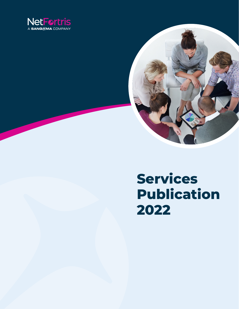



# **Services Publication 2022**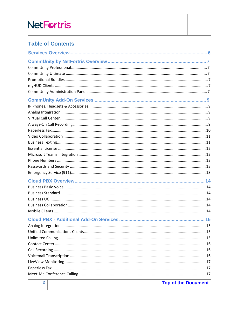# **Table of Contents**

**Top of the Document**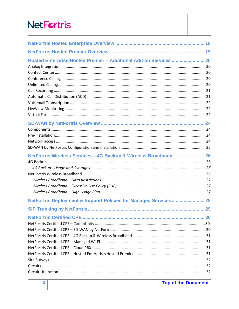| Hosted Enterprise/Hosted Premier - Additional Add-on Services  20 |  |
|-------------------------------------------------------------------|--|
|                                                                   |  |
|                                                                   |  |
|                                                                   |  |
|                                                                   |  |
| NetFortris Wireless Services - 4G Backup & Wireless Broadband 26  |  |
|                                                                   |  |
| NetFortris Deployment & Support Policies for Managed Services 28  |  |
|                                                                   |  |
|                                                                   |  |
|                                                                   |  |
|                                                                   |  |
|                                                                   |  |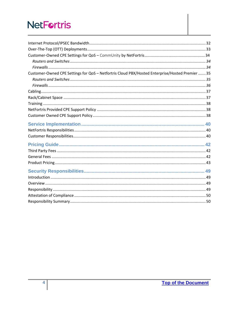| Customer-Owned CPE Settings for QoS - Netfortris Cloud PBX/Hosted Enterprise/Hosted Premier  35 |  |
|-------------------------------------------------------------------------------------------------|--|
|                                                                                                 |  |
|                                                                                                 |  |
|                                                                                                 |  |
|                                                                                                 |  |
|                                                                                                 |  |
|                                                                                                 |  |
|                                                                                                 |  |
|                                                                                                 |  |
|                                                                                                 |  |
|                                                                                                 |  |
|                                                                                                 |  |
|                                                                                                 |  |
|                                                                                                 |  |
|                                                                                                 |  |
|                                                                                                 |  |
|                                                                                                 |  |
|                                                                                                 |  |
|                                                                                                 |  |
|                                                                                                 |  |
|                                                                                                 |  |
|                                                                                                 |  |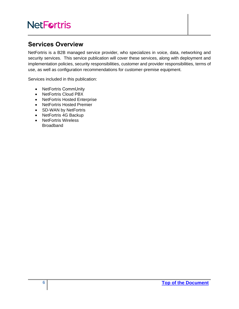# <span id="page-5-0"></span>**Services Overview**

NetFortris is a B2B managed service provider, who specializes in voice, data, networking and security services. This service publication will cover these services, along with deployment and implementation policies, security responsibilities, customer and provider responsibilities, terms of use, as well as configuration recommendations for customer-premise equipment.

Services included in this publication:

- NetFortris CommUnity
- NetFortris Cloud PBX
- NetFortris Hosted Enterprise
- NetFortris Hosted Premier
- SD-WAN by NetFortris
- NetFortris 4G Backup
- NetFortris Wireless Broadband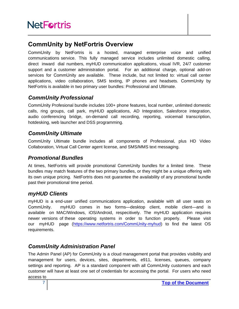# <span id="page-6-0"></span>**CommUnity by NetFortris Overview**

CommUnity by NetFortris is a hosted, managed enterprise voice and unified communications service. This fully managed service includes unlimited domestic calling, direct inward dial numbers, myHUD communication applications, visual IVR, 24/7 customer support and a customer administration portal. For an additional charge, optional add-on services for CommUnity are available. These include, but not limited to: virtual call center applications, video collaboration, SMS texting, IP phones and headsets. CommUnity by NetFortris is available in two primary user bundles: Professional and Ultimate.

# <span id="page-6-1"></span>*CommUnity Professional*

CommUnity Profesional bundle includes 100+ phone features, local number, unlimited domestic calls, ring groups, call park, myHUD applications, AD Integration, Salesforce integration, audio conferencing bridge, on-demand call recording, reporting, voicemail transcription, hotdesking, web launcher and DSS programming.

# <span id="page-6-2"></span>*CommUnity Ultimate*

CommUnity Ultimate bundle includes all components of Professional, plus HD Video Collaboration, Virtual Call Center agent license, and SMS/MMS text messaging.

# <span id="page-6-3"></span>*Promotional Bundles*

At times, NetFortris will provide promotional CommUnity bundles for a limited time. These bundles may match features of the two primary bundles, or they might be a unique offering with its own unique pricing. NetFortris does not guarantee the availability of any promotional bundle past their promotional time period.

# <span id="page-6-4"></span>*myHUD Clients*

myHUD is a end-user unified communications application, available with all user seats on CommUnity. myHUD comes in two forms—desktop client, mobile client—and is available on MAC/Windows, iOS/Android, respecitively. The myHUD application requires newer versions of these operating systems in order to function properly. Please visit our myHUD page [\(https://www.netfortris.com/](https://www.netfortris.com/comm-unity-myhud)CommUnity-myhud) to find the latest OS requirements.

# <span id="page-6-5"></span>*CommUnity Administration Panel*

The Admin Panel (AP) for CommUnity is a cloud management portal that provides visibility and management for users, devices, sites, departments, e911, licenses, queues, company settings and reporting. AP is a standard component with all CommUnity customers and each customer will have at least one set of credentials for accessing the portal. For users who need access to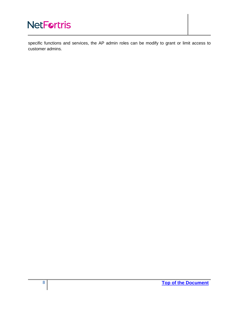specific functions and services, the AP admin roles can be modify to grant or limit access to customer admins.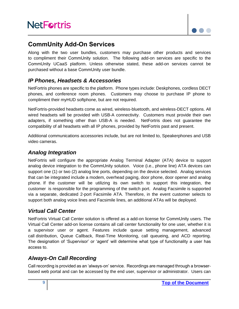

# <span id="page-8-0"></span>**CommUnity Add-On Services**

Along with the two user bundles, customers may purchase other products and services to compliment their CommUnity solution. The following add-on services are specific to the CommUnity UCaaS platform. Unless otherwise stated, these add-on services cannot be purchased without a base CommUnity user bundle.

### <span id="page-8-1"></span>*IP Phones, Headsets & Accessories*

NetFortris phones are specific to the platform. Phone types include: Deskphones, cordless DECT phones, and conference room phones. Customers may choose to purchase IP phone to compliment their myHUD softphone, but are not required.

NetFortris-provided headsets come as wired, wireless-bluetooth, and wireless-DECT options. All wired headsets will be provided with USB-A connectivity. Customers must provide their own adapters, if something other than USB-A is needed. NetFortris does not guarantee the compatibility of all headsets with all IP phones, provided by NetFortris past and present.

Additional communications accessories include, but are not limited to, Speakerphones and USB video cameras.

### <span id="page-8-2"></span>*Analog Integration*

NetFortris will configure the appropriate Analog Terminal Adapter (ATA) device to support analog device integration to the CommUnity solution. Voice (i.e., phone line) ATA devices can support one (1) or two (2) analog line ports, depending on the device selected. Analog services that can be integrated include a modem, overhead paging, door phone, door opener and analog phone. If the customer will be utilizing its own switch to support this integration, the customer is responsible for the programming of the switch port. Analog Facsimile is supported via a separate, dedicated 2-port Facsimile ATA. Therefore, in the event customer selects to support both analog voice lines and Facsimile lines, an additional ATAs will be deployed.

## <span id="page-8-3"></span>*Virtual Call Center*

NetFortris Virtual Call Center solution is offered as a add-on license for CommUnity users. The Virtual Call Center add-on license contains all call center functionality for one user, whether it is a supervisor user or agent. Features include queue setting management, advanced call distribution, Queue Callback, Real-Time Monitoring, call queueing, and ACD reporting. The designation of 'Supervisor' or 'agent' will determine what type of functionality a user has access to.

### <span id="page-8-4"></span>*Always-On Call Recording*

Call recording is provided as an 'always-on' service. Recordings are managed through a browserbased web portal and can be accessed by the end user, supervisor or administrator. Users can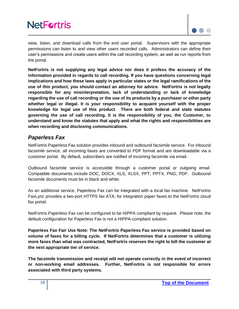

view, listen, and download calls from the end user portal. Supervisors with the appropriate permissions can listen to and view other users recorded calls. Administrators can define their user's permissions and create users within the call recording system, as well as run reports from the portal.

**NetFortris is not supplying any legal advice nor does it profess the accuracy of the information provided in regards to call recording. If you have questions concerning legal implications and how these laws apply in particular states or the legal ramifications of the use of this product, you should contact an attorney for advice. NetFortris is not legally responsible for any misinterpretation, lack of understanding or lack of knowledge regarding the use of call recording or the use of its products by a purchaser or other party whether legal or illegal. It is your responsibility to acquaint yourself with the proper knowledge for legal use of this product. There are both federal and state statutes governing the use of call recording. It is the responsibility of you, the Customer, to understand and know the statutes that apply and what the rights and responsibilities are when recording and disclosing communications.**

### <span id="page-9-0"></span>*Paperless Fax*

NetFortris Paperless Fax solution provides inbound and outbound facsimile service. For inbound facsimile service, all incoming faxes are converted to PDF format and are downloadable via a customer portal. By default, subscribers are notified of incoming facsimile via email.

Outbound facsimile service is accessible through a customer portal or outgoing email. Compatible documents include DOC, DOCX, XLS, XLSX, PPT, PPTX, PNG, PDF. Outbound facsimile documents must be in black and white.

As an additional service, Paperless Fax can be integrated with a local fax machine. NetFortris FaxLync provides a two-port HTTPS fax ATA, for integration paper faxes to the NetFortris cloud fax portal.

NetFortris Paperless Fax can be configured to be HIPPA compliant by request. Please note, the default configuration for Paperless Fax is not a HIPPA-compliant solution.

**Paperless Fax Fair Use Note: The NetFortris Paperless Fax service is provided based on volume of faxes for a billing cycle. If NetFortris determines that a customer is utilizing more faxes than what was contracted, NetFortris reserves the right to bill the customer at the next appropriate tier of service.** 

**The facsimile transmission and receipt will not operate correctly in the event of incorrect or non-working email addresses. Further, NetFortris is not responsible for errors associated with third party systems.**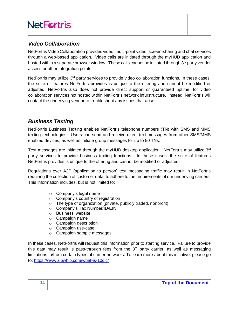## <span id="page-10-0"></span>*Video Collaboration*

NetFortris Video Collaboration provides video, multi-point video, screen-sharing and chat services through a web-based application. Video calls are initiated through the myHUD application and hosted within a separate browser window. These calls cannot be initiated through  $3<sup>rd</sup>$  party vendor access or other integration points.

NetFortris may utilize 3<sup>rd</sup> party services to provide video collaboration functions. In these cases, the suite of features NetFortris provides is unique to the offering and cannot be modified or adjusted. NetFortris also does not provide direct support or guaranteed uptime, for video collaboration services not hosted within NetFortris network infurstructure. Instead, NetFortris will contact the underlying vendor to troubleshoot any issues that arise.

### <span id="page-10-1"></span>*Business Texting*

NetFortris Business Texting enables NetFortris telephone numbers (TN) with SMS and MMS texting technologies. Users can send and receive direct text messages from other SMS/MMS enabled devices, as well as initiate group messages for up to 50 TNs.

Text messages are initiated through the myHUD desktop application. NetFortris may utilize 3<sup>rd</sup> party services to provide business texting functions. In these cases, the suite of features NetFortris provides is unique to the offering and cannot be modified or adjusted.

Regulations over A2P (application to person) text messaging traffic may result in NetFortris requiring the collection of customer data, to adhere to the requirements of our underlying carriers. This information includes, but is not limited to:

- o Company's legal name
- o Company's country of registration
- o The type of organization (private, publicly traded, nonprofit)
- o Company's Tax Number/ID/EIN
- o Business' website
- o Campaign name
- o Campaign description
- o Campaign use-case
- o Campaign sample messages

In these cases, NetFortris will request this information prior to starting service. Failure to provide this data may result is pass-through fees from the  $3<sup>rd</sup>$  party carrier, as well as messaging limitations to/from certain types of carrier networks. To learn more about this initiative, please go to:<https://www.zipwhip.com/what-is-10dlc/>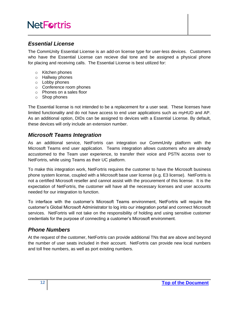### <span id="page-11-0"></span>*Essential License*

The CommUnity Essential License is an add-on license type for user-less devices. Customers who have the Essential License can recieve dial tone and be assigned a physical phone for placing and receiving calls. The Essential License is best utilized for:

- o Kitchen phones
- o Hallway phones
- o Lobby phones
- o Conference room phones
- o Phones on a sales floor
- o Shop phones

The Essential license is not intended to be a replacement for a user seat. These licenses have limited functionality and do not have access to end user applications such as myHUD and AP. As an additional option, DIDs can be assigned to devices with a Essential License. By default, these devices will only include an extension number.

### <span id="page-11-1"></span>*Microsoft Teams Integration*

As an additional service, NetFortris can integration our CommUnity platform with the Microsoft Teams end user application. Teams integration allows customers who are already accustomed to the Team user experience, to transfer their voice and PSTN access over to NetFortris, while using Teams as their UC platform.

To make this integration work, NetFortris requires the customer to have the Microsoft business phone system license, coupled with a Microsoft base user license (e.g. E3 license). NetFortris is not a certified Microsoft reseller and cannot assist with the procurement of this license. It is the expectation of NetFortris, the customer will have all the necessary licenses and user accounts needed for our integration to function.

To interface with the customer's Microsoft Teams environment, NetFortris will require the customer's Global Microsoft Administrator to log into our integration portal and connect Microsoft services. NetFortris will not take on the responsibility of holding and using sensitive customer credentials for the purpose of connecting a customer's Microsoft environment.

### <span id="page-11-2"></span>*Phone Numbers*

At the request of the customer, NetFortris can provide additional TNs that are above and beyond the number of user seats included in their account. NetFortris can provide new local numbers and toll free numbers, as well as port existing numbers.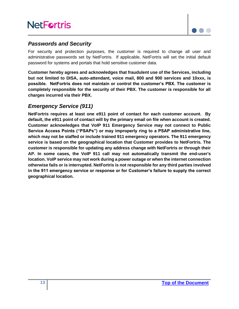

#### <span id="page-12-0"></span>*Passwords and Security*

For security and protection purposes, the customer is required to change all user and administrative passwords set by NetFortris. If applicable, NetFortris will set the initial default password for systems and portals that hold sensitive customer data.

**Customer hereby agrees and acknowledges that fraudulent use of the Services, including but not limited to DISA, auto-attendant, voice mail, 800 and 900 services and 10xxx, is possible. NetFortris does not maintain or control the customer's PBX. The customer is completely responsible for the security of their PBX. The customer is responsible for all charges incurred via their PBX.** 

### <span id="page-12-1"></span>*Emergency Service (911)*

**NetFortris requires at least one e911 point of contact for each customer account. By default, the e911 point of contact will by the primary email on file when account is created. Customer acknowledges that VoIP 911 Emergency Service may not connect to Public Service Access Points ("PSAPs") or may improperly ring to a PSAP administrative line, which may not be staffed or include trained 911 emergency operators. The 911 emergency service is based on the geographical location that Customer provides to NetFortris. The customer is responsible for updating any address change with NetFortris or through their AP. In some cases, the VoIP 911 call may not automatically transmit the end-user's location. VoIP service may not work during a power outage or when the internet connection otherwise fails or is interrupted. NetFortris is not responsible for any third parties involved in the 911 emergency service or response or for Customer's failure to supply the correct geographical location.**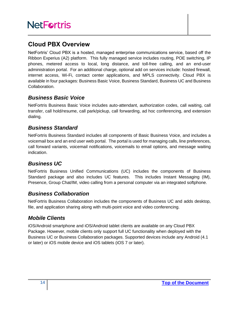# <span id="page-13-0"></span>**Cloud PBX Overview**

NetFortris' Cloud PBX is a hosted, managed enterprise communications service, based off the Ribbon Experius (A2) platform. This fully managed service includes routing, POE switching, IP phones, metered access to local, long distance, and toll-free calling, and an end-user administration portal. For an additional charge, optional add on services include: hosted firewall, internet access, Wi-Fi, contact center applications, and MPLS connectivity. Cloud PBX is available in four packages: Business Basic Voice, Business Standard, Business UC and Business Collaboration.

### <span id="page-13-1"></span>*Business Basic Voice*

NetFortris Business Basic Voice includes auto-attendant, authorization codes, call waiting, call transfer, call hold/resume, call park/pickup, call forwarding, ad hoc conferencing, and extension dialing.

### <span id="page-13-2"></span>*Business Standard*

NetFortris Business Standard includes all components of Basic Business Voice, and includes a voicemail box and an end user web portal. The portal is used for managing calls, line preferences, call forward variants, voicemail notifications, voicemails to email options, and message waiting indication.

## <span id="page-13-3"></span>*Business UC*

NetFortris Business Unified Communications (UC) includes the components of Business Standard package and also includes UC features. This includes Instant Messaging (IM), Presence, Group Chat/IM, video calling from a personal computer via an integrated softphone.

### <span id="page-13-4"></span>*Business Collaboration*

NetFortris Business Collaboration includes the components of Business UC and adds desktop, file, and application sharing along with multi-point voice and video conferencing.

### <span id="page-13-5"></span>*Mobile Clients*

iOS/Android smartphone and iOS/Android tablet clients are available on any Cloud PBX Package. However, mobile clients only support full UC functionality when deployed with the Business UC or Business Collaboration packages. Supported devices include any Android (4.1 or later) or iOS mobile device and iOS tablets (iOS 7 or later).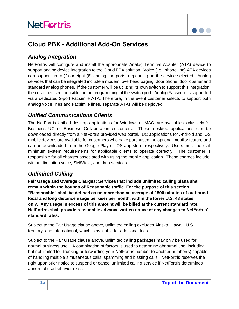

# <span id="page-14-0"></span>**Cloud PBX - Additional Add-On Services**

### <span id="page-14-1"></span>*Analog Integration*

NetFortris will configure and install the appropriate Analog Terminal Adapter (ATA) device to support analog device integration to the Cloud PBX solution. Voice (i.e., phone line) ATA devices can support up to (2) or eight (8) analog line ports, depending on the device selected. Analog services that can be integrated include a modem, overhead paging, door phone, door opener and standard analog phones. If the customer will be utilizing its own switch to support this integration, the customer is responsible for the programming of the switch port. Analog Facsimile is supported via a dedicated 2-port Facsimile ATA. Therefore, in the event customer selects to support both analog voice lines and Facsimile lines, separate ATAs will be deployed.

## <span id="page-14-2"></span>*Unified Communications Clients*

The NetFortris Unified desktop applications for Windows or MAC, are available exclusively for Business UC or Business Collaboration customers. These desktop applications can be downloaded directly from a NetFortris provided web portal. UC applications for Android and iOS mobile devices are available for customers who have purchased the optional mobility feature and can be downloaded from the Google Play or iOS app store, respectively. Users must meet all minimum system requirements for applicable clients to operate correctly. The customer is responsible for all charges associated with using the mobile application. These charges include, without limitation voice, SMS/text, and data services.

### <span id="page-14-3"></span>*Unlimited Calling*

**Fair Usage and Overage Charges: Services that include unlimited calling plans shall remain within the bounds of Reasonable traffic. For the purpose of this section, "Reasonable" shall be defined as no more than an average of 1500 minutes of outbound local and long distance usage per user per month, within the lower U.S. 48 states only. Any usage in excess of this amount will be billed at the current standard rate. NetFortris shall provide reasonable advance written notice of any changes to NetFortris' standard rates.**

Subject to the Fair Usage clause above, unlimited calling excludes Alaska, Hawaii, U.S. territory, and International, which is available for additional fees.

Subject to the Fair Usage clause above, unlimited calling packages may only be used for normal business use. A combination of factors is used to determine abnormal use, including but not limited to: trunking or forwarding your NetFortris number to another number(s) capable of handling multiple simultaneous calls, spamming and blasting calls. NetFortris reserves the right upon prior notice to suspend or cancel unlimited calling service if NetFortris determines abnormal use behavior exist.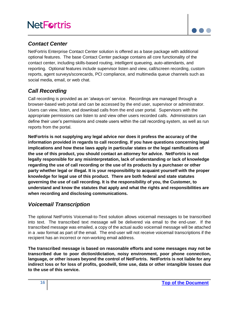

### <span id="page-15-0"></span>*Contact Center*

NetFortris Enterprise Contact Center solution is offered as a base package with additional optional features. The base Contact Center package contains all core functionality of the contact center, including skills-based routing, intelligent queueing, auto-attendants, and reporting. Optional features include supervisor listen and view, call/screen recording, custom reports, agent surveys/scorecards, PCI compliance, and multimedia queue channels such as social media, email, or web chat.

### <span id="page-15-1"></span>*Call Recording*

Call recording is provided as an 'always-on' service. Recordings are managed through a browser-based web portal and can be accessed by the end user, supervisor or administrator. Users can view, listen, and download calls from the end user portal. Supervisors with the appropriate permissions can listen to and view other users recorded calls. Administrators can define their user's permissions and create users within the call recording system, as well as run reports from the portal.

**NetFortris is not supplying any legal advice nor does it profess the accuracy of the information provided in regards to call recording. If you have questions concerning legal implications and how these laws apply in particular states or the legal ramifications of the use of this product, you should contact an attorney for advice. NetFortris is not legally responsible for any misinterpretation, lack of understanding or lack of knowledge regarding the use of call recording or the use of its products by a purchaser or other party whether legal or illegal. It is your responsibility to acquaint yourself with the proper knowledge for legal use of this product. There are both federal and state statutes governing the use of call recording. It is the responsibility of you, the Customer, to understand and know the statutes that apply and what the rights and responsibilities are when recording and disclosing communications.**

### <span id="page-15-2"></span>*Voicemail Transcription*

The optional NetFortris Voicemail-to-Text solution allows voicemail messages to be transcribed into text. The transcribed text message will be delivered via email to the end-user. If the transcribed message was emailed, a copy of the actual audio voicemail message will be attached in a .wav format as part of the email. The end-user will not receive voicemail transcriptions if the recipient has an incorrect or non-working email address.

**The transcribed message is based on reasonable efforts and some messages may not be transcribed due to poor diction/dictation, noisy environment, poor phone connection, language, or other issues beyond the control of NetFortris. NetFortris is not liable for any indirect loss or for loss of profits, goodwill, time use, data or other intangible losses due to the use of this service.**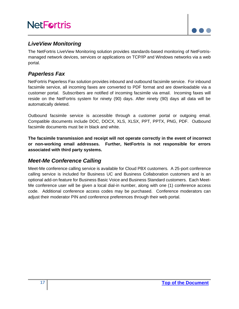

### <span id="page-16-0"></span>*LiveView Monitoring*

The NetFortris LiveView Monitoring solution provides standards-based monitoring of NetFortrismanaged network devices, services or applications on TCP/IP and Windows networks via a web portal.

### <span id="page-16-1"></span>*Paperless Fax*

NetFortris Paperless Fax solution provides inbound and outbound facsimile service. For inbound facsimile service, all incoming faxes are converted to PDF format and are downloadable via a customer portal. Subscribers are notified of incoming facsimile via email. Incoming faxes will reside on the NetFortris system for ninety (90) days. After ninety (90) days all data will be automatically deleted.

Outbound facsimile service is accessible through a customer portal or outgoing email. Compatible documents include DOC, DOCX, XLS, XLSX, PPT, PPTX, PNG, PDF. Outbound facsimile documents must be in black and white.

**The facsimile transmission and receipt will not operate correctly in the event of incorrect or non-working email addresses. Further, NetFortris is not responsible for errors associated with third party systems.**

### <span id="page-16-2"></span>*Meet-Me Conference Calling*

Meet-Me conference calling service is available for Cloud PBX customers. A 25-port conference calling service is included for Business UC and Business Collaboration customers and is an optional add-on feature for Business Basic Voice and Business Standard customers. Each Meet-Me conference user will be given a local dial-in number, along with one (1) conference access code. Additional conference access codes may be purchased. Conference moderators can adjust their moderator PIN and conference preferences through their web portal.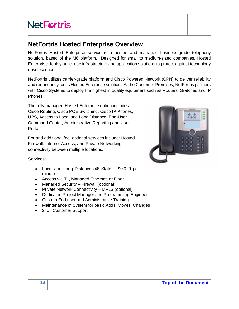# <span id="page-17-0"></span>**NetFortris Hosted Enterprise Overview**

NetFortris Hosted Enterprise service is a hosted and managed business-grade telephony solution, based of the M6 platform. Designed for small to medium-sized companies, Hosted Enterprise deployments use infrastructure and application solutions to protect against technology obsolescence.

NetFortris utilizes carrier-grade platform and Cisco Powered Network (CPN) to deliver reliability and redundancy for its Hosted Enterprise solution. At the Customer Premises, NetFortris partners with Cisco Systems to deploy the highest in quality equipment such as Routers, Switches and IP Phones.

The fully managed Hosted Enterprise option includes: Cisco Routing, Cisco POE Switching, Cisco IP Phones, UPS, Access to Local and Long Distance, End-User Command Center, Administrative Reporting and User Portal.

For and additional fee, optional services include: Hosted Firewall, Internet Access, and Private Networking connectivity between multiple locations.



Services:

- Local and Long Distance (48 State) \$0.029 per minute
- Access via T1, Managed Ethernet, or Fiber
- Managed Security Firewall (optional)
- Private Network Connectivity MPLS (optional)
- Dedicated Project Manager and Programming Engineer
- Custom End-user and Administrative Training
- Maintenance of System for basic Adds, Moves, Changes
- 24x7 Customer Support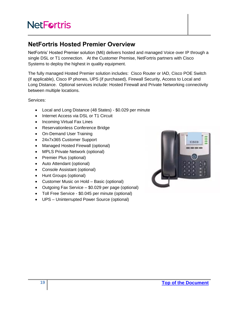# <span id="page-18-0"></span>**NetFortris Hosted Premier Overview**

NetFortris' Hosted Premier solution (M6) delivers hosted and managed Voice over IP through a single DSL or T1 connection. At the Customer Premise, NetFortris partners with Cisco Systems to deploy the highest in quality equipment.

The fully managed Hosted Premier solution includes: Cisco Router or IAD, Cisco POE Switch (if applicable), Cisco IP phones, UPS (if purchased), Firewall Security, Access to Local and Long Distance. Optional services include: Hosted Firewall and Private Networking connectivity between multiple locations.

Services:

- Local and Long Distance (48 States) \$0.029 per minute
- Internet Access via DSL or T1 Circuit
- Incoming Virtual Fax Lines
- Reservationless Conference Bridge
- On-Demand User Training
- 24x7x365 Customer Support
- Managed Hosted Firewall (optional)
- MPLS Private Network (optional)
- Premier Plus (optional)
- Auto Attendant (optional)
- Console Assistant (optional)
- Hunt Groups (optional)
- Customer Music on Hold Basic (optional)
- Outgoing Fax Service \$0.029 per page (optional)
- Toll Free Service \$0.045 per minute (optional)
- UPS Uninterrupted Power Source (optional)

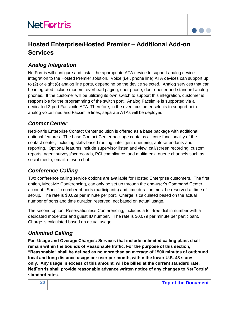

# <span id="page-19-0"></span>**Hosted Enterprise/Hosted Premier – Additional Add-on Services**

## <span id="page-19-1"></span>*Analog Integration*

NetFortris will configure and install the appropriate ATA device to support analog device integration to the Hosted Premier solution. Voice (i.e., phone line) ATA devices can support up to (2) or eight (8) analog line ports, depending on the device selected. Analog services that can be integrated include modem, overhead paging, door phone, door opener and standard analog phones. If the customer will be utilizing its own switch to support this integration, customer is responsible for the programming of the switch port. Analog Facsimile is supported via a dedicated 2-port Facsimile ATA. Therefore, in the event customer selects to support both analog voice lines and Facsimile lines, separate ATAs will be deployed.

### <span id="page-19-2"></span>*Contact Center*

NetFortris Enterprise Contact Center solution is offered as a base package with additional optional features. The base Contact Center package contains all core functionality of the contact center, including skills-based routing, intelligent queueing, auto-attendants and reporting. Optional features include supervisor listen and view, call/screen recording, custom reports, agent surveys/scorecards, PCI compliance, and multimedia queue channels such as social media, email, or web chat.

### <span id="page-19-3"></span>*Conference Calling*

Two conference calling service options are available for Hosted Enterprise customers. The first option, Meet-Me Conferencing, can only be set up through the end-user's Command Center account. Specific number of ports (participants) and time duration must be reserved at time of set-up. The rate is \$0.029 per minute per port. Charge is calculated based on the actual number of ports and time duration reserved, not based on actual usage.

The second option, Reservationless Conferencing, includes a toll-free dial in number with a dedicated moderator and guest ID number. The rate is \$0.079 per minute per participant. Charge is calculated based on actual usage.

## <span id="page-19-4"></span>*Unlimited Calling*

**Fair Usage and Overage Charges: Services that include unlimited calling plans shall remain within the bounds of Reasonable traffic. For the purpose of this section, "Reasonable" shall be defined as no more than an average of 1500 minutes of outbound local and long distance usage per user per month, within the lower U.S. 48 states only. Any usage in excess of this amount, will be billed at the current standard rate. NetFortris shall provide reasonable advance written notice of any changes to NetFortris' standard rates.**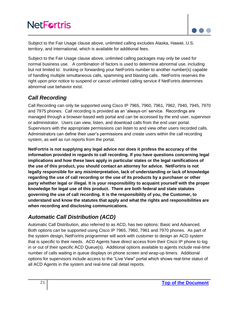

Subject to the Fair Usage clause above, unlimited calling excludes Alaska, Hawaii, U.S. territory, and International, which is available for additional fees.

Subject to the Fair Usage clause above, unlimited calling packages may only be used for normal business use. A combination of factors is used to determine abnormal use, including but not limited to: trunking or forwarding your NetFortris number to another number(s) capable of handling multiple simultaneous calls, spamming and blasting calls. NetFortris reserves the right upon prior notice to suspend or cancel unlimited calling service if NetFortris determines abnormal use behavior exist.

## <span id="page-20-0"></span>*Call Recording*

Call Recording can only be supported using Cisco IP 7965, 7960, 7961, 7962, 7940, 7945, 7970 and 7975 phones. Call recording is provided as an 'always-on' service. Recordings are managed through a browser-based web portal and can be accessed by the end user, supervisor or administrator. Users can view, listen, and download calls from the end user portal. Supervisors with the appropriate permissions can listen to and view other users recorded calls. Administrators can define their user's permissions and create users within the call recording system, as well as run reports from the portal.

**NetFortris is not supplying any legal advice nor does it profess the accuracy of the information provided in regards to call recording. If you have questions concerning legal implications and how these laws apply in particular states or the legal ramifications of the use of this product, you should contact an attorney for advice. NetFortris is not legally responsible for any misinterpretation, lack of understanding or lack of knowledge regarding the use of call recording or the use of its products by a purchaser or other party whether legal or illegal. It is your responsibility to acquaint yourself with the proper knowledge for legal use of this product. There are both federal and state statutes governing the use of call recording. It is the responsibility of you, the Customer, to understand and know the statutes that apply and what the rights and responsibilities are when recording and disclosing communications.**

## <span id="page-20-1"></span>*Automatic Call Distribution (ACD)*

Automatic Call Distribution, also referred to as ACD, has two options: Basic and Advanced. Both options can be supported using Cisco IP 7965, 7960, 7961 and 7970 phones. As part of the system design, NetFortris programmer will work with customer to design an ACD system that is specific to their needs. ACD Agents have direct access from their Cisco IP phone to log in or out of their specific ACD Queue(s). Additional options available to agents include real-time number of calls waiting in queue displays on phone screen and wrap-up timers. Additional options for supervisors include access to the "Live View" portal which shows real-time status of all ACD Agents in the system and real-time call detail reports.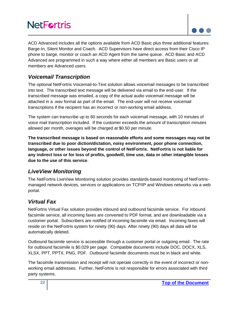

ACD Advanced includes all the options available from ACD Basic plus three additional features: Barge-In, Silent Monitor and Coach. ACD Supervisors have direct access from their Cisco IP phone to barge, monitor or coach an ACD Agent from the same queue. ACD Basic and ACD Advanced are programmed in such a way where either all members are Basic users or all members are Advanced users.

### <span id="page-21-0"></span>*Voicemail Transcription*

The optional NetFortris Voicemail-to-Text solution allows voicemail messages to be transcribed into text. The transcribed text message will be delivered via email to the end-user. If the transcribed message was emailed, a copy of the actual audio voicemail message will be attached in a .wav format as part of the email. The end-user will not receive voicemail transcriptions if the recipient has an incorrect or non-working email address.

The system can transcribe up to 60 seconds for each voicemail message, with 10 minutes of voice mail transcription included. If the customer exceeds the amount of transcription minutes allowed per month, overages will be charged at \$0.50 per minute.

**The transcribed message is based on reasonable efforts and some messages may not be transcribed due to poor diction/dictation, noisy environment, poor phone connection, language, or other issues beyond the control of NetFortris. NetFortris is not liable for any indirect loss or for loss of profits, goodwill, time use, data or other intangible losses due to the use of this service**.

### <span id="page-21-1"></span>*LiveView Monitoring*

The NetFortris LiveView Monitoring solution provides standards-based monitoring of NetFortrismanaged network devices, services or applications on TCP/IP and Windows networks via a web portal.

### <span id="page-21-2"></span>*Virtual Fax*

NetFortris Virtual Fax solution provides inbound and outbound facsimile service. For inbound facsimile service, all incoming faxes are converted to PDF format, and are downloadable via a customer portal. Subscribers are notified of incoming facsimile via email. Incoming faxes will reside on the NetFortris system for ninety (90) days. After ninety (90) days all data will be automatically deleted.

Outbound facsimile service is accessible through a customer portal or outgoing email. The rate for outbound facsimile is \$0.029 per page. Compatible documents include DOC, DOCX, XLS, XLSX, PPT, PPTX, PNG, PDF. Outbound facsimile documents must be in black and white.

The facsimile transmission and receipt will not operate correctly in the event of incorrect or nonworking email addresses. Further, NetFortris is not responsible for errors associated with third party systems.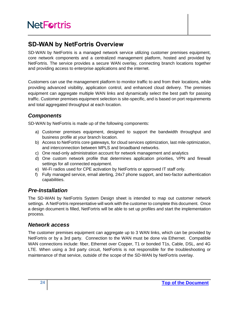# <span id="page-23-0"></span>**SD-WAN by NetFortris Overview**

SD-WAN by NetFortris is a managed network service utilizing customer premises equipment, core network components and a centralized management platform, hosted and provided by NetFortris. The service provides a secure WAN overlay, connecting branch locations together and providing access to enterprise applications and the internet.

Customers can use the management platform to monitor traffic to and from their locations, while providing advanced visibility, application control, and enhanced cloud delivery. The premises equipment can aggregate multiple WAN links and dynamically select the best path for passing traffic. Customer premises equipment selection is site-specific, and is based on port requirements and total aggregated throughput at each location.

# <span id="page-23-1"></span>*Components*

SD-WAN by NetFortris is made up of the following components:

- a) Customer premises equipment, designed to support the bandwidth throughput and business profile at your branch location.
- b) Access to NetFortris core gateways, for cloud services optimization, last mile optimization, and interconnection between MPLS and broadband networks.
- c) One read-only administration account for network management and analytics
- d) One custom network profile that determines application priorities, VPN and firewall settings for all connected equipment.
- e) Wi-Fi radios used for CPE activation by NetFortris or approved IT staff only.
- f) Fully managed service, email alerting, 24x7 phone support, and two-factor authentication capabilities.

## <span id="page-23-2"></span>*Pre-Installation*

The SD-WAN by NetFortris System Design sheet is intended to map out customer network settings. A NetFortris representative will work with the customer to complete this document. Once a design document is filled, NetFortris will be able to set up profiles and start the implementation process.

### <span id="page-23-3"></span>*Network access*

The customer premises equipment can aggregate up to 3 WAN links, which can be provided by NetFortris or by a 3rd party. Connection to the WAN must be done via Ethernet. Compatible WAN connections include: fiber, Ethernet over Copper, T1 or bonded T1s, Cable, DSL, and 4G LTE. When using a 3rd party circuit, NetFortris is not responsible for the troubleshooting or maintenance of that service, outside of the scope of the SD-WAN by NetFortris overlay.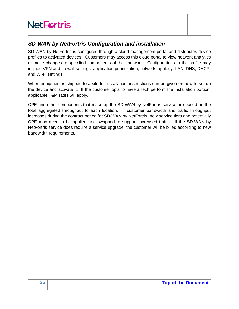## <span id="page-24-0"></span>*SD-WAN by NetFortris Configuration and installation*

SD-WAN by NetFortris is configured through a cloud management portal and distributes device profiles to activated devices. Customers may access this cloud portal to view network analytics or make changes to specified components of their network. Configurations to the profile may include VPN and firewall settings, application prioritization, network topology, LAN, DNS, DHCP, and Wi-Fi settings.

When equipment is shipped to a site for installation, instructions can be given on how to set up the device and activate it. If the customer opts to have a tech perform the installation portion, applicable T&M rates will apply.

CPE and other components that make up the SD-WAN by NetFortris service are based on the total aggregated throughput to each location. If customer bandwidth and traffic throughput increases during the contract period for SD-WAN by NetFortris, new service tiers and potentially CPE may need to be applied and swapped to support increased traffic. If the SD-WAN by NetFortris service does require a service upgrade, the customer will be billed according to new bandwidth requirements.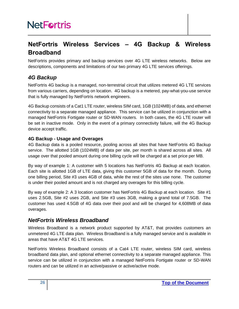# <span id="page-25-0"></span>**NetFortris Wireless Services – 4G Backup & Wireless Broadband**

NetFortris provides primary and backup services over 4G LTE wireless networks. Below are descriptions, components and limitations of our two primary 4G LTE services offerings.

## <span id="page-25-1"></span>*4G Backup*

NetFortris 4G backup is a managed, non-terrestrial circuit that utilizes metered 4G LTE services from various carriers, depending on location. 4G backup is a metered, pay-what-you-use service that is fully managed by NetFortris network engineers.

4G Backup consists of a Cat1 LTE router, wireless SIM card, 1GB (1024MB) of data, and ethernet connectivity to a separate managed appliance. This service can be utilized in conjunction with a managed NetFortris Fortigate router or SD-WAN routers. In both cases, the 4G LTE router will be set in inactive mode. Only in the event of a primary connectivity failure, will the 4G Backup device accept traffic.

#### <span id="page-25-2"></span>**4G Backup - Usage and Overages**

4G Backup data is a pooled resource, pooling across all sites that have NetFortris 4G Backup service. The allotted 1GB (1024MB) of data per site, per month is shared across all sites. All usage over that pooled amount during one billing cycle will be charged at a set price per MB.

By way of example 1: A customer with 5 locations has NetFortris 4G Backup at each location. Each site is allotted 1GB of LTE data, giving this customer 5GB of data for the month. During one billing period, Site #3 uses 4GB of data, while the rest of the sites use none. The customer is under their pooled amount and is not charged any overages for this billing cycle.

By way of example 2: A 3 location customer has NetFortris 4G Backup at each location. Site #1 uses 2.5GB, Site #2 uses 2GB, and Site #3 uses 3GB, making a grand total of 7.5GB. The customer has used 4.5GB of 4G data over their pool and will be charged for 4,608MB of data overages.

### <span id="page-25-3"></span>*NetFortris Wireless Broadband*

Wireless Broadband is a network product supported by AT&T, that provides customers an unmetered 4G LTE data plan. Wireless Broadband is a fully managed service and is available in areas that have AT&T 4G LTE services.

NetFortris Wireless Broadband consists of a Cat4 LTE router, wireless SIM card, wireless broadband data plan, and optional ethernet connectivity to a separate managed appliance. This service can be utilized in conjunction with a managed NetFortris Fortigate router or SD-WAN routers and can be utilized in an active/passive or active/active mode.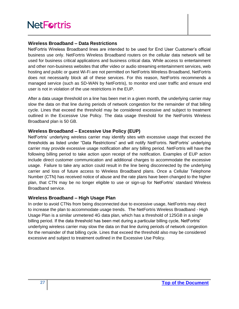#### <span id="page-26-0"></span>**Wireless Broadband – Data Restrictions**

NetFortris Wireless Broadband lines are intended to be used for End User Customer's official business use only. NetFortris Wireless Broadband routers on the cellular data network will be used for business critical applications and business critical data. While access to entertainment and other non-business websites that offer video or audio streaming entertainment services, web hosting and public or guest Wi-Fi are not permitted on NetFortris Wireless Broadband, NetFortris does not necessarily block all of these services. For this reason, NetFortris recommends a managed service (such as SD-WAN by NetFortris), to monitor end user traffic and ensure end user is not in violation of the use restrictions in the EUP.

After a data usage threshold on a line has been met in a given month, the underlying carrier may slow the data on that line during periods of network congestion for the remainder of that billing cycle. Lines that exceed the threshold may be considered excessive and subject to treatment outlined in the Excessive Use Policy. The data usage threshold for the NetFortris Wireless Broadband plan is 50 GB.

#### <span id="page-26-1"></span>**Wireless Broadband – Excessive Use Policy (EUP)**

NetFortris' underlying wireless carrier may identify sites with excessive usage that exceed the thresholds as listed under "Data Restrictions" and will notify NetFortris. NetFortris' underlying carrier may provide excessive usage notification after any billing period. NetFortris will have the following billing period to take action upon receipt of the notification. Examples of EUP action include direct customer communication and additional charges to accommodate the excessive usage. Failure to take any action could result in the line being disconnected by the underlying carrier and loss of future access to Wireless Broadband plans. Once a Cellular Telephone Number (CTN) has received notice of abuse and the rate plans have been changed to the higher plan, that CTN may be no longer eligible to use or sign-up for NetFortris' standard Wireless Broadband service.

#### <span id="page-26-2"></span>**Wireless Broadband – High Usage Plan**

In order to avoid CTNs from being disconnected due to excessive usage, NetFortris may elect to increase the plan to accommodate usage trends. The NetFortris Wireless Broadband - High Usage Plan is a similar unmetered 4G data plan, which has a threshold of 125GB in a single billing period. If the data threshold has been met during a particular billing cycle, NetFortris' underlying wireless carrier may slow the data on that line during periods of network congestion for the remainder of that billing cycle. Lines that exceed the threshold also may be considered excessive and subject to treatment outlined in the Excessive Use Policy.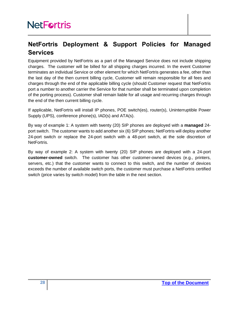# <span id="page-27-0"></span>**NetFortris Deployment & Support Policies for Managed Services**

Equipment provided by NetFortris as a part of the Managed Service does not include shipping charges. The customer will be billed for all shipping charges incurred. In the event Customer terminates an individual Service or other element for which NetFortris generates a fee, other than the last day of the then current billing cycle, Customer will remain responsible for all fees and charges through the end of the applicable billing cycle (should Customer request that NetFortris port a number to another carrier the Service for that number shall be terminated upon completion of the porting process). Customer shall remain liable for all usage and recurring charges through the end of the then current billing cycle.

If applicable, NetFortris will install IP phones, POE switch(es), router(s), Uninterruptible Power Supply (UPS), conference phone(s), IAD(s) and ATA(s).

By way of example 1: A system with twenty (20) SIP phones are deployed with a **managed** 24 port switch. The customer wants to add another six (6) SIP phones; NetFortris will deploy another 24-port switch or replace the 24-port switch with a 48-port switch, at the sole discretion of NetFortris.

By way of example 2: A system with twenty (20) SIP phones are deployed with a 24-port **customer-owned** switch. The customer has other customer-owned devices (e.g., printers, servers, etc.) that the customer wants to connect to this switch, and the number of devices exceeds the number of available switch ports, the customer must purchase a NetFortris certified switch (price varies by switch model) from the table in the next section.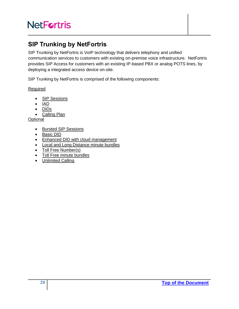# <span id="page-28-0"></span>**SIP Trunking by NetFortris**

SIP Trunking by NetFortris is VoIP technology that delivers telephony and unified communication services to customers with existing on-premise voice infrastructure. NetFortris provides SIP Access for customers with an existing IP-based PBX or analog POTS lines, by deploying a integrated access device on-site.

SIP Trunking by NetFortris is comprised of the following components:

#### Required

- **SIP Sessions**
- IAD
- DIDs
- Calling Plan

**Optional** 

- Bursted SIP Sessions
- Basic DID
- Enhanced DID with cloud management
- Local and Long Distance minute bundles
- Toll Free Number(s)
- Toll Free minute bundles
- Unlimited Calling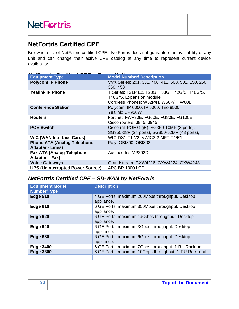# <span id="page-29-0"></span>**NetFortris Certified CPE**

Below is a list of NetFortris certified CPE. NetFortris does not guarantee the availability of any unit and can change their active CPE catelog at any time to represent current device availability.

<span id="page-29-1"></span>

| $\mathbf{M}_{\mathbf{A}}$<br>$\mathcal{L}$ a map of $\mathbf{L}$ is $\mathbf{L}$ . |                                                     |  |  |
|------------------------------------------------------------------------------------|-----------------------------------------------------|--|--|
| <b>Equipment Type</b>                                                              | <b>Model Number/ Description</b>                    |  |  |
| <b>Polycom IP Phone</b>                                                            | VVX Series: 201, 331, 400, 411, 500, 501, 150, 250, |  |  |
|                                                                                    | 350, 450                                            |  |  |
| <b>Yealink IP Phone</b>                                                            | T Series: T21P E2, T23G, T33G, T42G/S, T46G/S,      |  |  |
|                                                                                    | T48G/S, Expansion module                            |  |  |
|                                                                                    | Cordless Phones: W52P/H, W56P/H, W60B               |  |  |
| <b>Conference Station</b>                                                          | Polycom: IP 6000, IP 5000, Trio 8500                |  |  |
|                                                                                    | Yealink: CP930W                                     |  |  |
| <b>Routers</b>                                                                     | Fortinet: FWF30E, FG60E, FG80E, FG100E              |  |  |
|                                                                                    | Cisco routers: 3845, 3945                           |  |  |
| <b>POE Switch</b>                                                                  | Cisco (all POE GigE): SG350-10MP (8 ports),         |  |  |
|                                                                                    | SG350-28P (24 ports), SG350-52MP (48 ports),        |  |  |
| <b>WIC (WAN Interface Cards)</b>                                                   | WIC-DS1-T1-V2, VWIC2-2-MFT-T1/E1                    |  |  |
| <b>Phone ATA (Analog Telephone</b>                                                 | Poly: OBI300, OBI302                                |  |  |
| <b>Adapter - Lines)</b>                                                            |                                                     |  |  |
| <b>Fax ATA (Analog Telephone</b>                                                   | Audiocodes MP202D                                   |  |  |
| Adapter – Fax)                                                                     |                                                     |  |  |
| <b>Voice Gateways</b>                                                              | Grandstream: GXW4216, GXW4224, GXW4248              |  |  |
| <b>UPS (Uninterrupted Power Source)</b>                                            | APC BR 1300 LCD                                     |  |  |

# <span id="page-29-2"></span>*NetFortris Certified CPE – SD-WAN by NetFortris*

| <b>Equipment Model</b><br><b>Number/Type</b> | <b>Description</b>                                            |
|----------------------------------------------|---------------------------------------------------------------|
| <b>Edge 510</b>                              | 4 GE Ports; maximum 200Mbps throughput. Desktop<br>appliance. |
| Edge 610                                     | 6 GE Ports; maximum 350Mbps throughput. Desktop<br>appliance. |
| Edge 620                                     | 6 GE Ports; maximum 1.5Gbps throughput. Desktop<br>appliance. |
| Edge 640                                     | 6 GE Ports; maximum 3Gpbs throughput. Desktop<br>appliance.   |
| Edge 680                                     | 6 GE Ports; maximum 6Gbps throughput. Desktop<br>appliance.   |
| <b>Edge 3400</b>                             | 6 GE Ports; maximum 7Gpbs throughput. 1-RU Rack unit.         |
| <b>Edge 3800</b>                             | 6 GE Ports; maximum 10Gbps throughput. 1-RU Rack unit.        |
|                                              |                                                               |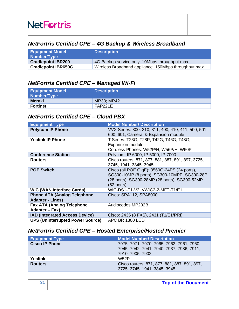### <span id="page-30-0"></span>*NetFortris Certified CPE – 4G Backup & Wireless Broadband*

| <b>Equipment Model</b><br>Number/Type | <b>Description</b>                                    |
|---------------------------------------|-------------------------------------------------------|
| <b>Cradlepoint IBR200</b>             | 4G Backup service only. 10Mbps throughput max.        |
| <b>Cradlepoint IBR650C</b>            | Wireless Broadband appliance. 150Mbps throughput max. |

### <span id="page-30-1"></span>*NetFortris Certified CPE – Managed Wi-Fi*

| <b>Equipment Model</b><br>Number/Type | <b>Description</b> |
|---------------------------------------|--------------------|
| Meraki                                | <b>MR33; MR42</b>  |
| <b>Fortinet</b>                       | FAP221E            |

### <span id="page-30-2"></span>*NetFortris Certified CPE – Cloud PBX*

| <b>Equipment Type</b>                                         | <b>Model Number/ Description</b>                                                                                                                             |
|---------------------------------------------------------------|--------------------------------------------------------------------------------------------------------------------------------------------------------------|
| <b>Polycom IP Phone</b>                                       | VVX Series: 300, 310, 311, 400, 410, 411, 500, 501,<br>600, 601, Camera, & Expansion module                                                                  |
| <b>Yealink IP Phone</b>                                       | T Series: T23G, T28P, T42G, T46G, T48G,<br><b>Expansion module</b><br>Cordless Phones: W52P/H, W56P/H, W60P                                                  |
| <b>Conference Station</b>                                     | Polycom: IP 6000, IP 5000, IP 7000                                                                                                                           |
| <b>Routers</b>                                                | Cisco routers: 871, 877, 881, 887, 891, 897, 3725,<br>3745, 1941, 3845, 3945                                                                                 |
| <b>POE Switch</b>                                             | Cisco (all POE GigE): 3560G-24PS (24 ports),<br>SG300-10MP (8 ports), SG300-10MPP, SG300-28P<br>(28 ports), SG300-28MP (28 ports), SG300-52MP<br>(52 ports), |
| <b>WIC (WAN Interface Cards)</b>                              | WIC-DS1-T1-V2, VWIC2-2-MFT-T1/E1                                                                                                                             |
| <b>Phone ATA (Analog Telephone</b><br><b>Adapter - Lines)</b> | Cisco: SPA112, SPA8000                                                                                                                                       |
| <b>Fax ATA (Analog Telephone</b><br>Adapter - Fax)            | Audiocodes MP202B                                                                                                                                            |
| <b>IAD (Integrated Access Device)</b>                         | Cisco: 2435 (8 FXS), 2431 (T1/E1/PRI)                                                                                                                        |
| <b>UPS (Uninterrupted Power Source)</b>                       | APC BR 1300 LCD                                                                                                                                              |

# <span id="page-30-3"></span>*NetFortris Certified CPE – Hosted Enterprise/Hosted Premier*

| <b>Equipment Type</b> | <b>Model Number/ Description</b>                                                       |
|-----------------------|----------------------------------------------------------------------------------------|
| <b>Cisco IP Phone</b> | 7975, 7971, 7970, 7965, 7962, 7961, 7960,<br>7945, 7942, 7941, 7940, 7937, 7936, 7911, |
|                       | 7910, 7905, 7902                                                                       |
| Yealink               | W52P                                                                                   |
| <b>Routers</b>        | Cisco routers: 871, 877, 881, 887, 891, 897,                                           |
|                       | 3725, 3745, 1941, 3845, 3945                                                           |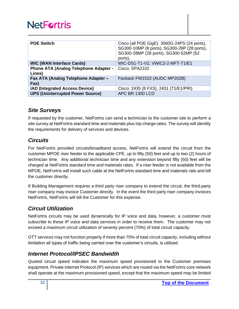| <b>POE Switch</b>                                      | Cisco (all POE GigE): 3560G-24PS (24 ports),<br>SG300-10MP (8 ports), SG300-28P (28 ports),<br>SG300-28MP (28 ports), SG300-52MP (52<br>ports), |
|--------------------------------------------------------|-------------------------------------------------------------------------------------------------------------------------------------------------|
| <b>WIC (WAN Interface Cards)</b>                       | WIC-DS1-T1-V2, VWIC2-2-MFT-T1/E1                                                                                                                |
| <b>Phone ATA (Analog Telephone Adapter -</b><br>Lines) | Cisco: SPA2102                                                                                                                                  |
| Fax ATA (Analog Telephone Adapter -<br>Fax)            | Faxback FW1522 (AUDC MP202B)                                                                                                                    |
| <b>IAD (Integrated Access Device)</b>                  | Cisco: 2435 (8 FXS), 2431 (T1/E1/PRI)                                                                                                           |
| <b>UPS (Uninterrupted Power Source)</b>                | <b>APC BR 1300 LCD</b>                                                                                                                          |

### <span id="page-31-0"></span>*Site Surveys*

If requested by the customer, NetFortris can send a technician to the customer site to perform a site survey at NetFortris standard time and materials plus trip charge rates. The survey will identify the requirements for delivery of services and devices.

### <span id="page-31-1"></span>*Circuits*

For NetFortris provided circuits/broadband access, NetFortris will extend the circuit from the customer MPOE riser feeder to the applicable CPE, up to fifty (50) feet and up to two (2) hours of technician time. Any additional technician time and any extension beyond fifty (50) feet will be charged at NetFortris standard time and materials rates. If a riser feeder is not available from the MPOE, NetFortris will install such cable at the NetFortris standard time and materials rate and bill the customer directly.

If Building Management requires a third party riser company to extend the circuit, the third-party riser company may invoice Customer directly. In the event the third party riser company invoices NetFortris, NetFortris will bill the Customer for this expense.

### <span id="page-31-2"></span>*Circuit Utilization*

NetFortris circuits may be used dynamically for IP voice and data, however, a customer must subscribe to these IP voice and data services in order to receive them. The customer may not exceed a maximum circuit utilization of seventy percent (70%) of total circuit capacity.

OTT services may not function properly if more than 70% of total circuit capacity, including without limitation all types of traffic being carried over the customer's circuits, is utilized.

### <span id="page-31-3"></span>*Internet Protocol/IPSEC Bandwidth*

Quoted circuit speed indicates the maximum speed provisioned to the Customer premises equipment. Private Internet Protocol (IP) services which are routed via the NetFortris core network shall operate at the maximum provisioned speed, except that the maximum speed may be limited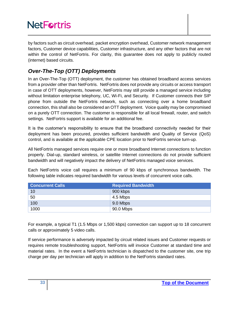by factors such as circuit overhead, packet encryption overhead, Customer network management factors, Customer device capabilities, Customer infrastructure, and any other factors that are not within the control of NetFortris. For clarity, this guarantee does not apply to publicly routed (internet) based circuits.

## <span id="page-32-0"></span>*Over-The-Top (OTT) Deployments*

In an Over-The-Top (OTT) deployment, the customer has obtained broadband access services from a provider other than NetFortris. NetFortris does not provide any circuits or access transport in case of OTT deployments, however, NetFortris may still provide a managed service including without limitation enterprise telephony, UC, Wi-Fi, and Security. If Customer connects their SIP phone from outside the NetFortris network, such as connecting over a home broadband connection, this shall also be considered an OTT deployment. Voice quality may be compromised on a purely OTT connection. The customer is responsible for all local firewall, router, and switch settings. NetFortris support is available for an additional fee.

It is the customer's responsibility to ensure that the broadband connectivity needed for their deployment has been procured, provides sufficient bandwidth and Quality of Service (QoS) control, and is available at the applicable CPE location prior to NetFortris service turn-up.

All NetFortris managed services require one or more broadband Internet connections to function properly. Dial-up, standard wireless, or satellite Internet connections do not provide sufficient bandwidth and will negatively impact the delivery of NetFortris managed voice services.

Each NetFortris voice call requires a minimum of 90 kbps of synchronous bandwidth. The following table indicates required bandwidth for various levels of concurrent voice calls.

| <b>Concurrent Calls</b> | <b>Required Bandwidth</b> |
|-------------------------|---------------------------|
| 10                      | 900 kbps                  |
| 50                      | 4.5 Mbps                  |
| 100                     | 9.0 Mbps                  |
| 1000                    | 90.0 Mbps                 |

For example, a typical T1 (1.5 Mbps or 1,500 kbps) connection can support up to 18 concurrent calls or approximately 5 video calls.

If service performance is adversely impacted by circuit related issues and Customer requests or requires remote troubleshooting support, NetFortris will invoice Customer at standard time and material rates. In the event a NetFortris technician is dispatched to the customer site, one trip charge per day per technician will apply in addition to the NetFortris standard rates.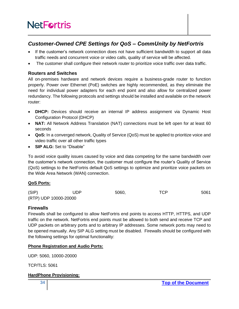## <span id="page-33-0"></span>*Customer-Owned CPE Settings for QoS – CommUnity by NetFortris*

- If the customer's network connection does not have sufficient bandwidth to support all data traffic needs and concurrent voice or video calls, quality of service will be affected.
- The customer shall configure their network router to prioritize voice traffic over data traffic.

#### <span id="page-33-1"></span>**Routers and Switches**

All on-premises hardware and network devices require a business-grade router to function properly. Power over Ethernet (PoE) switches are highly recommended, as they eliminate the need for individual power adapters for each end point and also allow for centralized power redundancy. The following protocols and settings should be installed and available on the network router:

- **DHCP:** Devices should receive an internal IP address assignment via Dynamic Host Configuration Protocol (DHCP)
- **NAT:** All Network Address Translation (NAT) connections must be left open for at least 60 seconds
- **QoS:** In a converged network, Quality of Service (QoS) must be applied to prioritize voice and video traffic over all other traffic types
- **SIP ALG:** Set to "Disable"

To avoid voice quality issues caused by voice and data competing for the same bandwidth over the customer's network connection, the customer must configure the router's Quality of Service (QoS) settings to the NetFortris default QoS settings to optimize and prioritize voice packets on the Wide Area Network (WAN) connection.

#### **QoS Ports:**

| (SIP) | <b>UDP</b>            | 5060, | <b>TCP</b> | 5061 |
|-------|-----------------------|-------|------------|------|
|       | (RTP) UDP 10000-20000 |       |            |      |

#### <span id="page-33-2"></span>**Firewalls**

Firewalls shall be configured to allow NetFortris end points to access HTTP, HTTPS, and UDP traffic on the network. NetFortris end points must be allowed to both send and receive TCP and UDP packets on arbitrary ports and to arbitrary IP addresses. Some network ports may need to be opened manually. Any SIP ALG setting must be disabled. Firewalls should be configured with the following settings for optimal functionality:

#### **Phone Registration and Audio Ports:**

UDP: 5060, 10000-20000

TCP/TLS: 5061

#### **HardPhone Provisioning:**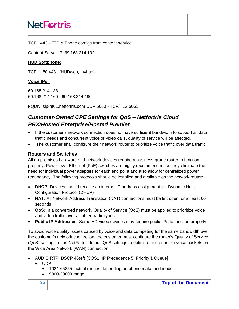TCP: 443 - ZTP & Phone configs from content service

Content Server IP: 69.168.214.132

#### **HUD Softphone:**

TCP : 80,443 (HUDweb, myhud)

#### **Voice IPs:**

69.168.214.138 69.168.214.160 - 69.168.214.190

FQDN: sip-nf01.netfortris.com UDP 5060 - TCP/TLS 5061

# <span id="page-34-0"></span>*Customer-Owned CPE Settings for QoS – Netfortris Cloud PBX/Hosted Enterprise/Hosted Premier*

- If the customer's network connection does not have sufficient bandwidth to support all data traffic needs and concurrent voice or video calls, quality of service will be affected.
- The customer shall configure their network router to prioritize voice traffic over data traffic.

#### <span id="page-34-1"></span>**Routers and Switches**

All on-premises hardware and network devices require a business-grade router to function properly. Power over Ethernet (PoE) switches are highly recommended, as they eliminate the need for individual power adapters for each end point and also allow for centralized power redundancy. The following protocols should be installed and available on the network router:

- **DHCP:** Devices should receive an internal IP address assignment via Dynamic Host Configuration Protocol (DHCP)
- **NAT:** All Network Address Translation (NAT) connections must be left open for at least 60 seconds
- **QoS:** In a converged network, Quality of Service (QoS) must be applied to prioritize voice and video traffic over all other traffic types
- **Public IP Addresses:** Some HD video devices may require public IPs to function properly

To avoid voice quality issues caused by voice and data competing for the same bandwidth over the customer's network connection, the customer must configure the router's Quality of Service (QoS) settings to the NetFortris default QoS settings to optimize and prioritize voice packets on the Wide Area Network (WAN) connection.

- AUDIO RTP: DSCP 46(ef) [COS1, IP Precedence 5, Priority 1 Queue]
	- UDP
		- 1024-65355, actual ranges depending on phone make and model.
		- 9000-20000 range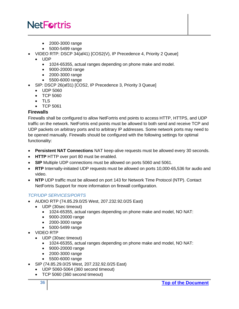- 2000-3000 range
- 5000-5499 range
- VIDEO RTP: DSCP 34(af41) [COS2(V), IP Precedence 4, Priority 2 Queue]
	- UDP
		- 1024-65355, actual ranges depending on phone make and model.
		- 9000-20000 range
		- 2000-3000 range
		- 5500-6000 range
- SIP: DSCP 26(af31) [COS2, IP Precedence 3, Priority 3 Queue]
	- UDP 5060
	- TCP 5060
	- TLS
	- TCP 5061

#### <span id="page-35-0"></span>**Firewalls**

Firewalls shall be configured to allow NetFortris end points to access HTTP, HTTPS, and UDP traffic on the network. NetFortris end points must be allowed to both send and receive TCP and UDP packets on arbitrary ports and to arbitrary IP addresses. Some network ports may need to be opened manually. Firewalls should be configured with the following settings for optimal functionality:

- **Persistent NAT Connections** NAT keep-alive requests must be allowed every 30 seconds.
- **HTTP** HTTP over port 80 must be enabled.
- **SIP** Multiple UDP connections must be allowed on ports 5060 and 5061.
- **RTP** Internally-initiated UDP requests must be allowed on ports 10,000-65,536 for audio and video.
- **NTP** UDP traffic must be allowed on port 143 for Network Time Protocol (NTP). Contact NetFortris Support for more information on firewall configuration.

#### *TCP/UDP SERVICES/PORTS*

- AUDIO RTP (74.85.29.0/25 West, 207.232.92.0/25 East)
	- UDP (30sec timeout)
		- 1024-65355, actual ranges depending on phone make and model, NO NAT:
		- 9000-20000 range
		- 2000-3000 range
		- 5000-5499 range
- VIDEO RTP
	- UDP (30sec timeout)
		- 1024-65355, actual ranges depending on phone make and model, NO NAT:
		- 9000-20000 range
		- 2000-3000 range
		- 5500-6000 range
- SIP (74.85.29.0/25 West, 207.232.92.0/25 East)
	- UDP 5060-5064 (360 second timeout)
	- TCP 5060 (360 second timeout)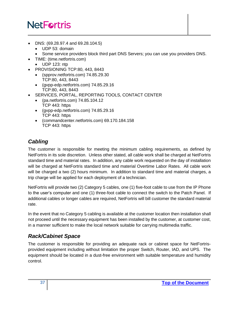- DNS: (69.28.97.4 and 69.28.104.5)
	- UDP 53: domain
	- Some service providers block third part DNS Servers; you can use you providers DNS.
- TIME: (time.netfortris.com)
	- UDP 123: ntp
- PROVISIONING TCP:80, 443, 8443
	- (spprov.netfortris.com) 74.85.29.30 TCP:80, 443, 8443
	- (gvpp-edp.netfortris.com) 74.85.29.16 TCP:80, 443, 8443
- SERVICES, PORTAL, REPORTING TOOLS, CONTACT CENTER
	- (pa.netfortris.com) 74.85.104.12 TCP 443: https
	- (gvpp-edp.netfortris.com) 74.85.29.16 TCP 443: https
	- (commandcenter.netfortris.com) 69.170.184.158 TCP 443: https

# <span id="page-36-0"></span>*Cabling*

The customer is responsible for meeting the minimum cabling requirements, as defined by NetFortris in its sole discretion. Unless other stated, all cable work shall be charged at NetFortris standard time and material rates. In addition, any cable work requested on the day of installation will be charged at NetFortris standard time and material Overtime Labor Rates. All cable work will be charged a two (2) hours minimum. In addition to standard time and material charges, a trip charge will be applied for each deployment of a technician.

NetFortris will provide two (2) Category 5 cables, one (1) five-foot cable to use from the IP Phone to the user's computer and one (1) three-foot cable to connect the switch to the Patch Panel. If additional cables or longer cables are required, NetFortris will bill customer the standard material rate.

In the event that no Category 5 cabling is available at the customer location then installation shall not proceed until the necessary equipment has been installed by the customer, at customer cost, in a manner sufficient to make the local network suitable for carrying multimedia traffic.

## <span id="page-36-1"></span>*Rack/Cabinet Space*

The customer is responsible for providing an adequate rack or cabinet space for NetFortrisprovided equipment including without limitation the proper Switch, Router, IAD, and UPS. The equipment should be located in a dust-free environment with suitable temperature and humidity control.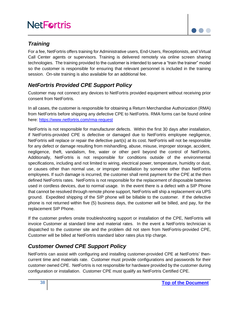

### <span id="page-37-0"></span>*Training*

For a fee, NetFortris offers training for Administrative users, End-Users, Receptionists, and Virtual Call Center agents or supervisors. Training is delivered remotely via online screen sharing technologies. The training provided to the customer is intended to serve a "train the trainer" model so the customer is responsible for ensuring that relevant personnel is included in the training session. On-site training is also available for an additional fee.

## <span id="page-37-1"></span>*NetFortris Provided CPE Support Policy*

Customer may not connect any devices to NetFortris provided equipment without receiving prior consent from NetFortris.

In all cases, the customer is responsible for obtaining a Return Merchandise Authorization (RMA) from NetFortris before shipping any defective CPE to NetFortris. RMA forms can be found online here:<https://www.netfortris.com/rma-request>

NetFortris is not responsible for manufacturer defects. Within the first 30 days after installation, if NetFortris-provided CPE is defective or damaged due to NetFortris employee negligence, NetFortris will replace or repair the defective part(s) at its cost. NetFortris will not be responsible for any defect or damage resulting from mishandling, abuse, misuse, improper storage, accident, negligence, theft, vandalism, fire, water or other peril beyond the control of NetFortris. Additionally, NetFortris is not responsible for conditions outside of the environmental specifications, including and not limited to wiring, electrical power, temperature, humidity or dust, or causes other than normal use, or improper installation by someone other than NetFortris employees. If such damage is incurred, the customer shall remit payment for the CPE at the then defined NetFortris rates. NetFortris is not responsible for the replacement of disposable batteries used in cordless devices, due to normal usage. In the event there is a defect with a SIP Phone that cannot be resolved through remote phone support, NetFortris will ship a replacement via UPS ground. Expedited shipping of the SIP phone will be billable to the customer. If the defective phone is not returned within five (5) business days, the customer will be billed, and pay, for the replacement SIP Phone.

If the customer prefers onsite troubleshooting support or installation of the CPE, NetFortris will invoice Customer at standard time and material rates. In the event a NetFortris technician is dispatched to the customer site and the problem did not stem from NetFortris-provided CPE, Customer will be billed at NetFortris standard labor rates plus trip charge.

## <span id="page-37-2"></span>*Customer Owned CPE Support Policy*

NetFortris can assist with configuring and installing customer-provided CPE at NetFortris' thencurrent time and materials rate. Customer must provide configurations and passwords for their customer owned CPE. NetFortris is not responsible for hardware provided by the customer during configuration or installation. Customer CPE must qualify as NetFortris Certified CPE.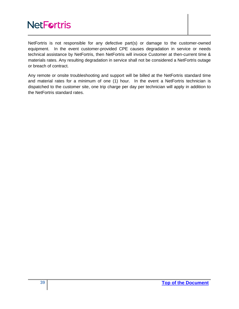NetFortris is not responsible for any defective part(s) or damage to the customer-owned equipment. In the event customer-provided CPE causes degradation in service or needs technical assistance by NetFortris, then NetFortris will invoice Customer at then-current time & materials rates. Any resulting degradation in service shall not be considered a NetFortris outage or breach of contract.

Any remote or onsite troubleshooting and support will be billed at the NetFortris standard time and material rates for a minimum of one (1) hour. In the event a NetFortris technician is dispatched to the customer site, one trip charge per day per technician will apply in addition to the NetFortris standard rates.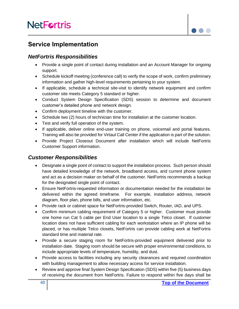

# <span id="page-39-0"></span>**Service Implementation**

### <span id="page-39-1"></span>*NetFortris Responsibilities*

- Provide a single point of contact during installation and an Account Manager for ongoing support.
- Schedule kickoff meeting (conference call) to verify the scope of work, confirm preliminary information and gather high-level requirements pertaining to your system.
- If applicable, schedule a technical site-visit to identify network equipment and confirm customer site meets Category 5 standard or higher.
- Conduct System Design Specification (SDS) session to determine and document customer's detailed phone and network design.
- Confirm deployment timeline with the customer.
- Schedule two (2) hours of technician time for installation at the customer location.
- Test and verify full operation of the system.
- If applicable, deliver online end-user training on phone, voicemail and portal features. Training will also be provided for Virtaul Call Center if the application is part of the solution.
- Provide Project Closeout Document after installation which will include NetFortris Customer Support information.

### <span id="page-39-2"></span>*Customer Responsibilities*

- Designate a single point of contact to support the installation process. Such person should have detailed knowledge of the network, broadband access, and current phone system and act as a decision maker on behalf of the customer. NetFortris recommends a backup for the designated single point of contact.
- Ensure NetFortris-requested information or documentation needed for the installation be delivered within the agreed timeframe. For example, installation address, network diagram, floor plan, phone bills, and user information, etc.
- Provide rack or cabinet space for NetFortris-provided Switch, Router, IAD, and UPS.
- Confirm minimum cabling requirement of Category 5 or higher. Customer must provide one home run Cat 5 cable per End User location to a single Telco closet. If customer location does not have sufficient cabling for each workstation where an IP phone will be placed, or has multiple Telco closets, NetFortris can provide cabling work at NetFortris standard time and material rate.
- Provide a secure staging room for NetFortris-provided equipment delivered prior to installation date. Staging room should be secure with proper environmental conditions, to include appropriate levels of temperature, humidity, and dust.
- Provide access to facilities including any security clearances and required coordination with building management to allow necessary access for service installation.
- Review and approve final System Design Specification (SDS) within five (5) business days of receiving the document from NetFortris. Failure to respond within five days shall be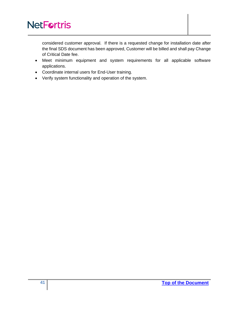considered customer approval. If there is a requested change for installation date after the final SDS document has been approved, Customer will be billed and shall pay Change of Critical Date fee.

- Meet minimum equipment and system requirements for all applicable software applications.
- Coordinate internal users for End-User training.
- Verify system functionality and operation of the system.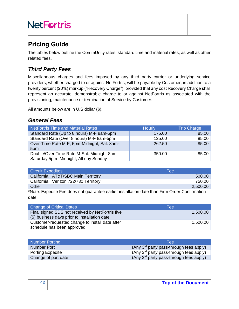# <span id="page-41-0"></span>**Pricing Guide**

The tables below outline the CommUnity rates, standard time and material rates, as well as other related fees.

## <span id="page-41-1"></span>*Third Party Fees*

Miscellaneous charges and fees imposed by any third party carrier or underlying service providers, whether charged to or against NetFortris, will be payable by Customer, in addition to a twenty percent (20%) markup ("Recovery Charge"), provided that any cost Recovery Charge shall represent an accurate, demonstrable charge to or against NetFortris as associated with the provisioning, maintenance or termination of Service by Customer.

All amounts below are in U.S dollar (\$).

### <span id="page-41-2"></span>*General Fees*

| NetFortris Time and Material Rates                                                   | <b>Hourly</b> | <b>Trip Charge</b> |
|--------------------------------------------------------------------------------------|---------------|--------------------|
| Standard Rate (Up to 8 hours) M-F 8am-5pm                                            | 175.00        | 85.00              |
| Standard Rate (Over 8 hours) M-F 8am-5pm                                             | 125.00        | 85.00              |
| Over-Time Rate M-F, 5pm-Midnight, Sat. 8am-<br>5pm                                   | 262.50        | 85.00              |
| Double/Over Time Rate M-Sat. Midnight-8am,<br>Saturday 5pm- Midnight, All day Sunday | 350.00        | 85.00              |

| <b>Circuit Expedites</b>              | Fee      |
|---------------------------------------|----------|
| California: AT&T/SBC Main Territory   | 500.00   |
| California: Verizon 722/730 Territory | 750.00   |
| Other                                 | 2,500.00 |

\*Note: Expedite Fee does not guarantee earlier installation date than Firm Order Confirmation date.

| <b>Change of Critical Dates</b>                                                                  | Fee      |
|--------------------------------------------------------------------------------------------------|----------|
| Final signed SDS not received by NetFortris five<br>(5) business days prior to installation date | 1,500.00 |
| Customer-requested change to install date after<br>schedule has been approved                    | 1,500.00 |

| Number Porting      | Fee                                                 |
|---------------------|-----------------------------------------------------|
| Number Port         | (Any $3rd$ party pass-through fees apply)           |
| Porting Expedite    | $\int (Any 3rd party pass-through fees apply)$      |
| Change of port date | (Any 3 <sup>rd</sup> party pass-through fees apply) |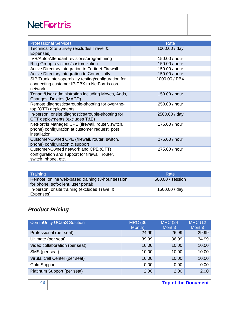| <b>Professional Services</b>                                                                                        | Rate          |
|---------------------------------------------------------------------------------------------------------------------|---------------|
| Technical Site Survey (excludes Travel &<br>Expenses)                                                               | 1000.00 / day |
| IVR/Auto-Attendant revisions/programming                                                                            | 150.00 / hour |
| Ring Group revisions/customization                                                                                  | 150.00 / hour |
| Active Directory integration to Fortinet Firewall                                                                   | 150.00 / hour |
| Active Directory integration to CommUnity                                                                           | 150.00 / hour |
| SIP Trunk inter-operability testing/configuration for<br>connecting customer IP-PBX to NetFortris core<br>network   | 1000.00 / PBX |
| Tenant/User administration including Moves, Adds,<br>Changes, Deletes (MACD)                                        | 150.00 / hour |
| Remote diagnostics/trouble-shooting for over-the-<br>top (OTT) deployments                                          | 250.00 / hour |
| In-person, onsite diagnostics/trouble-shooting for<br>OTT deployments (excludes T&E)                                | 2500.00 / day |
| NetFortris Managed CPE (firewall, router, switch,<br>phone) configuration at customer request, post<br>installation | 175,00 / hour |
| Customer-Owned CPE (firewall, router, switch,<br>phone) configuration & support                                     | 275.00 / hour |
| Customer-Owned network and CPE (OTT)<br>configuration and support for firewall, router,<br>switch, phone, etc.      | 275.00 / hour |

| Training                                                                                  | Rate             |
|-------------------------------------------------------------------------------------------|------------------|
| Remote, online web-based training (3-hour session<br>for phone, soft-client, user portal) | 500.00 / session |
| In-person, onsite training (excludes Travel &<br>Expenses)                                | 1500.00 / day    |

# <span id="page-42-0"></span>*Product Pricing*

| <b>CommUnity UCaaS Solution</b> | <b>MRC (36)</b><br>Month) | <b>MRC (24</b><br>Month) | <b>MRC (12)</b><br>Month) |
|---------------------------------|---------------------------|--------------------------|---------------------------|
| Professional (per seat)         | 24.99                     | 26.99                    | 29.99                     |
| Ultimate (per seat)             | 39.99                     | 36.99                    | 34.99                     |
| Video collaboration (per seat)  | 10.00                     | 10.00                    | 10.00                     |
| SMS (per seat)                  | 10.00                     | 10.00                    | 10.00                     |
| Virutal Call Center (per seat)  | 10.00                     | 10.00                    | 10.00                     |
| <b>Gold Support</b>             | 0.00                      | 0.00                     | 0.00                      |
| Platinum Support (per seat)     | 2.00                      | 2.00                     | 2.00                      |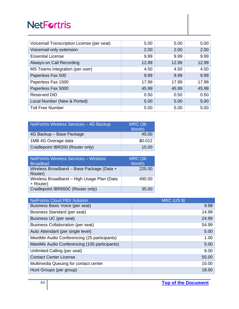| Voicemail Transcription License (per seat) | 5.00  | 5.00  | 5.00  |
|--------------------------------------------|-------|-------|-------|
| Voicemail-only extension                   | 2.00  | 2.00  | 2.00  |
| <b>Essential License</b>                   | 9.99  | 9.99  | 9.99  |
| Always-on Call Recording                   | 12.99 | 12.99 | 12.99 |
| MS Teams Integration (per user)            | 4.50  | 4.50  | 4.50  |
| Paperless Fax 500                          | 9.99  | 9.99  | 9.99  |
| Paperless Fax 1500                         | 17.99 | 17.99 | 17.99 |
| Paperless Fax 5000                         | 45.99 | 45.99 | 45.99 |
| Reserved DID                               | 0.50  | 0.50  | 0.50  |
| Local Number (New & Ported)                | 5.00  | 5.00  | 5.00  |
| <b>Toll Free Number</b>                    | 5.00  | 5.00  | 5.00  |

| NetFortris Wireless Services - 4G Backup | <b>MRC (36)</b><br>Month) |
|------------------------------------------|---------------------------|
| 4G Backup – Base Package                 | 45.00                     |
| 1MB 4G Overage data                      | \$0.012                   |
| Cradlepoint IBR200 (Router only)         | 15.00                     |

| NetFortris Wireless Services - Wireless<br><b>Broadbad</b> | <b>MRC (36</b><br>Month) |
|------------------------------------------------------------|--------------------------|
| Wireless Broadband - Base Package (Data +<br>Router)       | 225.00                   |
| Wireless Broadband - High Usage Plan (Data<br>+ Router)    | 490.00                   |
| Cradlepoint IBR650C (Router only)                          | 35.00                    |

| <b>NetFortris Cloud PBX Solution</b>         | <b>MRC (US \$)</b> |
|----------------------------------------------|--------------------|
| Business Basic Voice (per seat)              | 9.99               |
| <b>Business Standard (per seat)</b>          | 14.99              |
| Business UC (per seat)                       | 24.99              |
| <b>Business Collaboration (per seat)</b>     | 54.99              |
| Auto Attendant (per single level)            | 5.00               |
| MeetMe Audio Conferencing (25 participants)  | 1.00               |
| MeetMe Audio Conferencing (100 participants) | 5.00               |
| Unlimited Calling (per seat)                 | 8.00               |
| <b>Contact Center License</b>                | 55.00              |
| Multimedia Queuing for contact center        | 10.00              |
| Hunt Groups (per group)                      | 18.00              |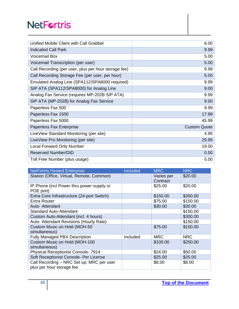| Unified Mobile Client with Call Grabber              | 6.00                |
|------------------------------------------------------|---------------------|
| <b>Indicated Call Park</b>                           | 9.99                |
| <b>Voicemail Box</b>                                 | 5.00                |
| Voicemail Transcription (per user)                   | 5.00                |
| Call Recording (per user, plus per hour storage fee) | 9.99                |
| Call Recording Storage Fee (per user, per hour)      | 5.00                |
| Emulated Analog Line (SPA112/SPA8000 required)       | 9.99                |
| SIP ATA (SPA112/SPA8000) for Analog Line             | 9.00                |
| Analog Fax Service (requires MP-202B SIP ATA)        | 9.99                |
| SIP ATA (MP-202B) for Analog Fax Service             | 9.00                |
| Paperless Fax 500                                    | 9.99                |
| Paperless Fax 1500                                   | 17.99               |
| Paperless Fax 5000                                   | 45.99               |
| Paperless Fax Enterprise                             | <b>Custom Quote</b> |
| LiveView Standard Monitoring (per site)              | 4.95                |
| LiveView Pro Monitoring (per site)                   | 29.95               |
| <b>Local Forward Only Number</b>                     | 19.00               |
| <b>Reserved Number/DID</b>                           | 0.50                |
| Toll Free Number (plus usage)                        | 5.00                |

| <b>NetFortris Hosted Enterprise</b>                                    | Included | <b>MRC</b>             | <b>NRC</b> |
|------------------------------------------------------------------------|----------|------------------------|------------|
| Station (Office, Virtual, Remote, Common)                              |          | Varies per<br>Contract | \$20.00    |
| IP Phone (incl Power thru power supply or<br>POE port)                 |          | \$25.00                | \$20.00    |
| Extra Core Infrastructure (24-port Switch)                             |          | \$150.00               | \$300.00   |
| <b>Extra Router</b>                                                    |          | \$75.00                | \$150.00   |
| Auto- Attendant                                                        |          | \$30.00                | \$30.00    |
| <b>Standard Auto-Attendant</b>                                         |          |                        | \$150.00   |
| Custom Auto-Attendant (incl. 4 hours)                                  |          |                        | \$300.00   |
| Auto- Attendant Revisions (Hourly Rate)                                |          |                        | \$150.00   |
| Custom Music on Hold (MOH-50<br>simultaneous)                          |          | \$75.00                | \$150.00   |
| <b>Fully Managed PBX Description</b>                                   | Included | <b>MRC</b>             | <b>NRC</b> |
| Custom Music on Hold (MOH-100<br>simultaneous)                         |          | \$100.00               | \$250.00   |
| <b>Physical Receptionist Console-7914</b>                              |          | \$24.00                | \$50.00    |
| Soft Receptionist Console- Per License                                 |          | \$25.00                | \$25.00    |
| Call Recording - NRC Set up; MRC per user<br>plus per hour storage fee |          | \$8.00                 | \$8.00     |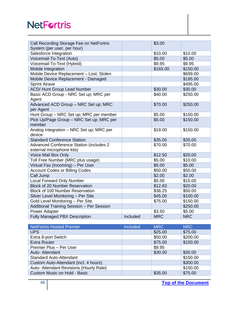| Call Recording Storage Fee on NetFortris<br>System (per user, per hour)     |          | \$3.00     |            |
|-----------------------------------------------------------------------------|----------|------------|------------|
| Salesforce Integration                                                      |          | \$10.00    | \$10.00    |
| Voicemail-To-Text (Auto)                                                    |          | \$5.00     | \$5.00     |
| Voicemail-To-Text (Hybrid)                                                  |          | \$9.95     | \$9.95     |
| Mobile Integration                                                          |          | \$165.00   | \$150.00   |
| Mobile Device Replacement - Lost; Stolen                                    |          |            | \$699.00   |
| Mobile Device Replacement - Damaged                                         |          |            | \$195.00   |
| <b>Sprint Airave</b>                                                        |          |            | \$495.00   |
| <b>ACD/ Hunt Group Lead Number</b>                                          |          | \$30.00    | \$30.00    |
| Basic ACD Group - NRC Set up; MRC per<br>Agent                              |          | \$40.00    | \$250.00   |
| Advanced ACD Group - NRC Set up; MRC<br>per Agent                           |          | \$70.00    | \$250.00   |
| Hunt Group - NRC Set up; MRC per member                                     |          | \$5.00     | \$150.00   |
| Pick Up/Page Group - NRC Set up; MRC per<br>member                          |          | \$5.00     | \$150.00   |
| Analog Integration - NRC Set up; MRC per<br>device                          |          | \$19.00    | \$150.00   |
| <b>Standard Conference Station</b>                                          |          | \$35.00    | \$35.00    |
| <b>Advanced Conference Station (includes 2</b><br>external microphone kits) |          | \$70.00    | \$70.00    |
| Voice Mail Box Only                                                         |          | \$12.50    | \$20.00    |
| Toll Free Number (MRC plus usage)                                           |          | \$5.00     | \$10.00    |
| Virtual Fax (Incoming) - Per User                                           |          | \$5.00     | \$5.00     |
| <b>Account Codes or Billing Codes</b>                                       |          | \$50.00    | \$50.00    |
| Call Jump                                                                   |          | \$2.00     | \$2.00     |
| <b>Local Forward Only Number</b>                                            |          | \$5.00     | \$15.00    |
| <b>Block of 20 Number Reservation</b>                                       |          | \$12.83    | \$20.00    |
| <b>Block of 100 Number Reservation</b>                                      |          | \$36.25    | \$50.00    |
| Silver Level Monitoring - Per Site                                          |          | \$45.00    | \$100.00   |
| Gold Level Monitoring - Per Site                                            |          | \$75.00    | \$150.00   |
| Additional Training Session - Per Session                                   |          |            | \$250.00   |
| Power Adapter                                                               |          | \$3.50     | \$5.00     |
| <b>Fully Managed PBX Description</b>                                        | Included | <b>MRC</b> | <b>NRC</b> |

| <b>NetFortris Hosted Premier</b>        | <b>Included</b> | <b>MRC</b> | <b>NRC</b> |
|-----------------------------------------|-----------------|------------|------------|
| <b>UPS</b>                              |                 | \$25.00    | \$75.00    |
| Extra 8-port Switch                     |                 | \$50.00    | \$200.00   |
| <b>Extra Router</b>                     |                 | \$75.00    | \$150.00   |
| Premier Plus - Per User                 |                 | \$9.95     |            |
| Auto- Attendant                         |                 | \$30.00    | \$30.00    |
| <b>Standard Auto-Attendant</b>          |                 |            | \$150.00   |
| Custom Auto-Attendant (incl. 4 hours)   |                 |            | \$300.00   |
| Auto- Attendant Revisions (Hourly Rate) |                 |            | \$150.00   |
| Custom Music on Hold - Basic            |                 | \$35.00    | \$75.00    |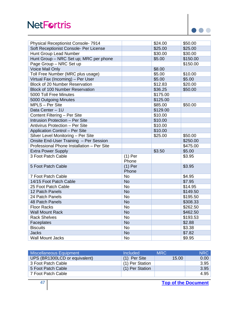

| <b>Physical Receptionist Console-7914</b>  |                    | \$24.00  | \$50.00  |
|--------------------------------------------|--------------------|----------|----------|
| Soft Receptionist Console- Per License     |                    | \$25.00  | \$25.00  |
| Hunt Group Lead Number                     |                    | \$30.00  | \$30.00  |
| Hunt Group - NRC Set up; MRC per phone     |                    | \$5.00   | \$150.00 |
| Page Group - NRC Set up                    |                    |          | \$150.00 |
| Voice Mail Only                            |                    | \$8.00   |          |
| Toll Free Number (MRC plus usage)          |                    | \$5.00   | \$10.00  |
| Virtual Fax (Incoming) - Per User          |                    | \$5.00   | \$5.00   |
| <b>Block of 20 Number Reservation</b>      |                    | \$12.83  | \$20.00  |
| <b>Block of 100 Number Reservation</b>     |                    | \$36.25  | \$50.00  |
| 5000 Toll Free Minutes                     |                    | \$175.00 |          |
| 5000 Outgoing Minutes                      |                    | \$125.00 |          |
| MPLS - Per Site                            |                    | \$85.00  | \$50.00  |
| Data Center - 1U                           |                    | \$129.00 |          |
| Content Filtering - Per Site               |                    | \$10.00  |          |
| Intrusion Protection - Per Site            |                    | \$10.00  |          |
| Antivirus Protection - Per Site            |                    | \$10.00  |          |
| <b>Application Control - Per Site</b>      |                    | \$10.00  |          |
| Silver Level Monitoring - Per Site         |                    | \$25.00  | \$50.00  |
| Onsite End-User Training - Per Session     |                    |          | \$250.00 |
| Professional Phone Installation - Per Site |                    |          | \$475.00 |
| <b>Extra Power Supply</b>                  |                    | \$3.50   | \$5.00   |
| 3 Foot Patch Cable                         | $(1)$ Per<br>Phone |          | \$3.95   |
| 5 Foot Patch Cable                         | $(1)$ Per<br>Phone |          | \$3.95   |
| 7 Foot Patch Cable                         | <b>No</b>          |          | \$4.95   |
| 14/15 Foot Patch Cable                     | <b>No</b>          |          | \$7.95   |
| 25 Foot Patch Cable                        | <b>No</b>          |          | \$14.95  |
| 12 Patch Panels                            | <b>No</b>          |          | \$149.50 |
| 24 Patch Panels                            | <b>No</b>          |          | \$195.50 |
| 48 Patch Panels                            | <b>No</b>          |          | \$308.33 |
| <b>Floor Racks</b>                         | No                 |          | \$262.50 |
| <b>Wall Mount Rack</b>                     | <b>No</b>          |          | \$462.50 |
| <b>Rack Shelves</b>                        | <b>No</b>          |          | \$193.53 |
| Faceplates                                 | <b>No</b>          |          | \$2.88   |
| <b>Biscuits</b>                            | <b>No</b>          |          | \$3.38   |
| <b>Jacks</b>                               | <b>No</b>          |          | \$7.82   |
| <b>Wall Mount Jacks</b>                    | <b>No</b>          |          | \$9.95   |

| Miscellaneous Equipment       | <b>Included</b> | <b>MRC</b> | <b>NRC</b> |
|-------------------------------|-----------------|------------|------------|
| UPS (BR1300LCD or equivalent) | $(1)$ Per Site  | 15.00      | 0.00       |
| 3 Foot Patch Cable            | (1) Per Station |            | 3.95       |
| 5 Foot Patch Cable            | (1) Per Station |            | 3.95       |
| 7 Foot Patch Cable            |                 |            | 4.95       |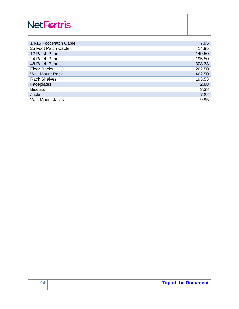| 14/15 Foot Patch Cable  | 7.95   |
|-------------------------|--------|
| 25 Foot Patch Cable     | 14.95  |
| 12 Patch Panels         | 149.50 |
| 24 Patch Panels         | 195.50 |
| 48 Patch Panels         | 308.33 |
| <b>Floor Racks</b>      | 262.50 |
| <b>Wall Mount Rack</b>  | 462.50 |
| <b>Rack Shelves</b>     | 193.53 |
| Faceplates              | 2.88   |
| <b>Biscuits</b>         | 3.38   |
| <b>Jacks</b>            | 7.82   |
| <b>Wall Mount Jacks</b> | 9.95   |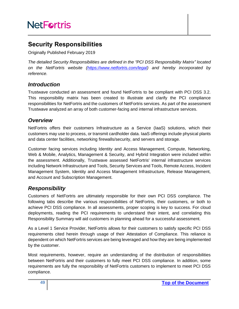# <span id="page-48-0"></span>**Security Responsibilities**

Originally Published February 2019

*The detailed Security Responsibilities are defined in the "PCI DSS Responsibility Matrix" located on the NetFortris website [\(https://www.netfortris.com/legal\)](https://www.netfortris.com/legal) and hereby incorporated by reference.*

### <span id="page-48-1"></span>*Introduction*

Trustwave conducted an assessment and found NetFortris to be compliant with PCI DSS 3.2. This responsibility matrix has been created to illustrate and clarify the PCI compliance responsibilities for NetFortris and the customers of NetFortris services. As part of the assessment Trustwave analyzed an array of both customer-facing and internal infrastructure services.

### <span id="page-48-2"></span>*Overview*

NetFortris offers their customers Infrastructure as a Service (IaaS) solutions, which their customers may use to process, or transmit cardholder data. IaaS offerings include physical plants and data center facilities, networking firewalls/security, and servers and storage.

Customer facing services including Identity and Access Management, Compute, Networking, Web & Mobile, Analytics, Management & Security, and Hybrid Integration were included within the assessment. Additionally, Trustwave assessed NetFortris' internal infrastructure services including Network Infrastructure and Tools, Security Services and Tools, Remote Access, Incident Management System, Identity and Access Management Infrastructure, Release Management, and Account and Subscription Management.

## <span id="page-48-3"></span>*Responsibility*

Customers of NetFortris are ultimately responsible for their own PCI DSS compliance. The following tabs describe the various responsibilities of NetFortris, their customers, or both to achieve PCI DSS compliance. In all assessments, proper scoping is key to success. For cloud deployments, reading the PCI requirements to understand their intent, and correlating this Responsibility Summary will aid customers in planning ahead for a successful assessment.

As a Level 1 Service Provider, NetFortris allows for their customers to satisfy specific PCI DSS requirements cited herein through usage of their Attestation of Compliance. This reliance is dependent on which NetFortris services are being leveraged and how they are being implemented by the customer.

Most requirements, however, require an understanding of the distribution of responsibilities between NetFortris and their customers to fully meet PCI DSS compliance. In addition, some requirements are fully the responsibility of NetFortris customers to implement to meet PCI DSS compliance.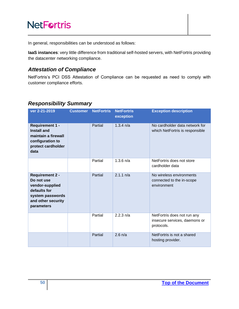In general, responsibilities can be understood as follows:

**IaaS instances**: very little difference from traditional self-hosted servers, with NetFortris providing the datacenter networking compliance.

### <span id="page-49-0"></span>*Attestation of Compliance*

NetFortris's PCI DSS Attestation of Compliance can be requested as need to comply with customer compliance efforts.

### <span id="page-49-1"></span>*Responsibility Summary*

| ver 2-21-2019                                                                                                                   | <b>Customer</b> | <b>NetFortris</b> | <b>NetFortris</b><br>exception | <b>Exception description</b>                                               |
|---------------------------------------------------------------------------------------------------------------------------------|-----------------|-------------------|--------------------------------|----------------------------------------------------------------------------|
| <b>Requirement 1 -</b><br><b>Install and</b><br>maintain a firewall<br>configuration to<br>protect cardholder<br>data           |                 | Partial           | $1.3.4 \text{ n/a}$            | No cardholder data network for<br>which NetFortris is responsible          |
|                                                                                                                                 |                 | Partial           | $1.3.6 \text{ n/a}$            | NetFortris does not store<br>cardholder data                               |
| <b>Requirement 2 -</b><br>Do not use<br>vendor-supplied<br>defaults for<br>system passwords<br>and other security<br>parameters |                 | Partial           | 2.1.1 n/a                      | No wireless environments<br>connected to the in-scope<br>environment       |
|                                                                                                                                 |                 | Partial           | 2.2.3 n/a                      | NetFortris does not run any<br>insecure services, daemons or<br>protocols. |
|                                                                                                                                 |                 | Partial           | $2.6 \text{ n/a}$              | NetFortris is not a shared<br>hosting provider.                            |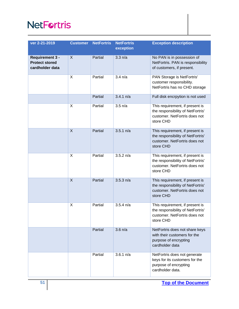| ver 2-21-2019                                                      | <b>Customer</b> | <b>NetFortris</b> | <b>NetFortris</b><br>exception | <b>Exception description</b>                                                                                       |
|--------------------------------------------------------------------|-----------------|-------------------|--------------------------------|--------------------------------------------------------------------------------------------------------------------|
| <b>Requirement 3 -</b><br><b>Protect stored</b><br>cardholder data | $\mathsf{X}$    | Partial           | 3.3 n/a                        | No PAN is in possession of<br>NetFortris. PAN is responsibility<br>of customers, if present.                       |
|                                                                    | X               | Partial           | 3.4 n/a                        | PAN Storage is NetFortris'<br>customer responsibility.<br>NetFortris has no CHD storage                            |
|                                                                    |                 | Partial           | $3.4.1 \text{ n/a}$            | Full disk encrpytion is not used                                                                                   |
|                                                                    | X               | Partial           | $3.5 \text{ n/a}$              | This requirement, if present is<br>the responsibility of NetFortris'<br>customer. NetFortris does not<br>store CHD |
|                                                                    | $\overline{X}$  | Partial           | 3.5.1 n/a                      | This requirement, if present is<br>the responsibility of NetFortris'<br>customer. NetFortris does not<br>store CHD |
|                                                                    | X               | Partial           | 3.5.2 n/a                      | This requirement, if present is<br>the responsibility of NetFortris'<br>customer. NetFortris does not<br>store CHD |
|                                                                    | X               | Partial           | 3.5.3 n/a                      | This requirement, if present is<br>the responsibility of NetFortris'<br>customer. NetFortris does not<br>store CHD |
|                                                                    | X               | Partial           | $3.5.4 \text{ n/a}$            | This requirement, if present is<br>the responsibility of NetFortris'<br>customer. NetFortris does not<br>store CHD |
|                                                                    |                 | Partial           | $3.6 \text{ n/a}$              | NetFortris does not share keys<br>with their customers for the<br>purpose of encrypting<br>cardholder data         |
|                                                                    |                 | Partial           | 3.6.1 n/a                      | NetFortris does not generate<br>keys for its customers for the<br>purpose of encrypting<br>cardholder data.        |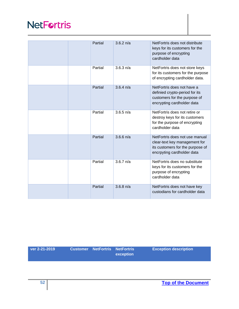| Partial | $3.6.2 \text{ n/a}$ | NetFortris does not distribute<br>keys for its customers for the<br>purpose of encrypting<br>cardholder data                      |
|---------|---------------------|-----------------------------------------------------------------------------------------------------------------------------------|
| Partial | 3.6.3 n/a           | NetFortris does not store keys<br>for its customers for the purpose<br>of encrypting cardholder data.                             |
| Partial | $3.6.4 \text{ n/a}$ | NetFortris does not have a<br>definied crypto-period for its<br>customers for the purpose of<br>encrypting cardholder data        |
| Partial | $3.6.5$ n/a         | NetFortris does not retire or<br>destroy keys for its customers<br>for the purpose of encrypting<br>cardholder data               |
| Partial | $3.6.6$ n/a         | NetFortris does not use manual<br>clear-text key management for<br>its customers for the purpose of<br>encrpyting cardholder data |
| Partial | $3.6.7 \text{ n/a}$ | NetFortris does no substitute<br>keys for its customers for the<br>purpose of encrypting<br>cardholder data                       |
| Partial | $3.6.8 \text{ n/a}$ | NetFortris does not have key<br>custodians for cardholder data                                                                    |

| ver 2-21-2019 <b>ver</b> | <b>Customer NetFortris NetFortris</b> | $\blacksquare$ exception | <b>Exception description</b> |
|--------------------------|---------------------------------------|--------------------------|------------------------------|
|                          |                                       |                          |                              |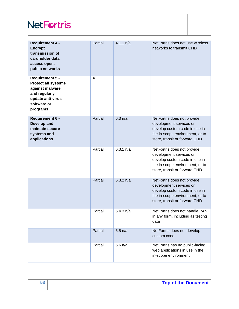| <b>Requirement 4 -</b><br><b>Encrypt</b><br>transmission of<br>cardholder data<br>access open,<br>public networks                 | Partial | 4.1.1 n/a | NetFortris does not use wireless<br>networks to transmit CHD                                                                                                |
|-----------------------------------------------------------------------------------------------------------------------------------|---------|-----------|-------------------------------------------------------------------------------------------------------------------------------------------------------------|
| Requirement 5 -<br><b>Protect all systems</b><br>against malware<br>and regularly<br>update anti-virus<br>software or<br>programs | X       |           |                                                                                                                                                             |
| <b>Requirement 6 -</b><br>Develop and<br>maintain secure<br>systems and<br>applications                                           | Partial | $6.3$ n/a | NetFortris does not provide<br>development services or<br>develop custom code in use in<br>the in-scope environment, or to<br>store, transit or forward CHD |
|                                                                                                                                   | Partial | 6.3.1 n/a | NetFortris does not provide<br>development services or<br>develop custom code in use in<br>the in-scope environment, or to<br>store, transit or forward CHD |
|                                                                                                                                   | Partial | 6.3.2 n/a | NetFortris does not provide<br>development services or<br>develop custom code in use in<br>the in-scope environment, or to<br>store, transit or forward CHD |
|                                                                                                                                   | Partial | 6.4.3 n/a | NetFortris does not handle PAN<br>in any form, including as testing<br>data                                                                                 |
|                                                                                                                                   | Partial | $6.5$ n/a | NetFortris does not develop<br>custom code.                                                                                                                 |
|                                                                                                                                   | Partial | $6.6$ n/a | NetFortris has no public-facing<br>web applications in use in the<br>in-scope environment                                                                   |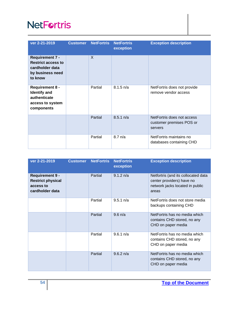| ver 2-21-2019                                                                                         | <b>Customer</b> | <b>NetFortris</b> | <b>NetFortris</b><br>exception | <b>Exception description</b>                                      |
|-------------------------------------------------------------------------------------------------------|-----------------|-------------------|--------------------------------|-------------------------------------------------------------------|
| <b>Requirement 7 -</b><br><b>Restrict access to</b><br>cardholder data<br>by business need<br>to know |                 | $\mathsf{X}$      |                                |                                                                   |
| <b>Requirement 8 -</b><br><b>Identify and</b><br>authenticate<br>access to system<br>components       |                 | Partial           | $8.1.5 \text{ n/a}$            | NetFortris does not provide<br>remove vendor access               |
|                                                                                                       |                 | Partial           | $8.5.1 \text{ n/a}$            | NetFortris does not access<br>customer premises POS or<br>servers |
|                                                                                                       |                 | Partial           | $8.7 \text{ n/a}$              | NetFortris maintains no<br>databases containing CHD               |

| ver 2-21-2019                                                                      | <b>Customer</b> | <b>NetFortris</b> | <b>NetFortris</b><br>exception | <b>Exception description</b>                                                                                 |
|------------------------------------------------------------------------------------|-----------------|-------------------|--------------------------------|--------------------------------------------------------------------------------------------------------------|
| <b>Requirement 9 -</b><br><b>Restrict physical</b><br>access to<br>cardholder data |                 | Partial           | $9.1.2 \text{ n/a}$            | Netfortris (and its collocated data<br>center providers) have no<br>network jacks located in public<br>areas |
|                                                                                    |                 | Partial           | $9.5.1 \text{ n/a}$            | NetFortris does not store media<br>backups containing CHD                                                    |
|                                                                                    |                 | Partial           | $9.6 \text{ n/a}$              | NetFortris has no media which<br>contains CHD stored, no any<br>CHD on paper media                           |
|                                                                                    |                 | Partial           | $9.6.1 \text{ n/a}$            | NetFortris has no media which<br>contains CHD stored, no any<br>CHD on paper media                           |
|                                                                                    |                 | Partial           | $9.6.2 \text{ n/a}$            | NetFortris has no media which<br>contains CHD stored, no any<br>CHD on paper media                           |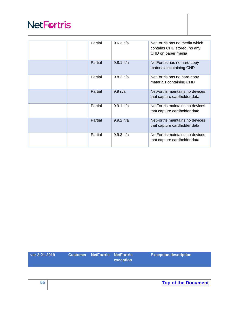|  | Partial | 9.6.3 n/a           | NetFortris has no media which<br>contains CHD stored, no any<br>CHD on paper media |
|--|---------|---------------------|------------------------------------------------------------------------------------|
|  | Partial | $9.8.1 \text{ n/a}$ | NetFortris has no hard-copy<br>materials containing CHD                            |
|  | Partial | $9.8.2 \text{ n/a}$ | NetFortris has no hard-copy<br>materials containing CHD                            |
|  | Partial | $9.9 \text{ n/a}$   | NetFortris maintains no devices<br>that capture cardholder data                    |
|  | Partial | $9.9.1 \text{ n/a}$ | NetFortris maintains no devices<br>that capture cardholder data                    |
|  | Partial | $9.9.2 \text{ n/a}$ | NetFortris maintains no devices<br>that capture cardholder data                    |
|  | Partial | $9.9.3 \text{ n/a}$ | NetFortris maintains no devices<br>that capture cardholder data                    |

| ver 2-21-2019 | <b>Customer NetFortris NetFortris</b> | exception | <b>Exception description</b> |
|---------------|---------------------------------------|-----------|------------------------------|
|               |                                       |           |                              |
| 55            |                                       |           | <b>Top of the Document</b>   |